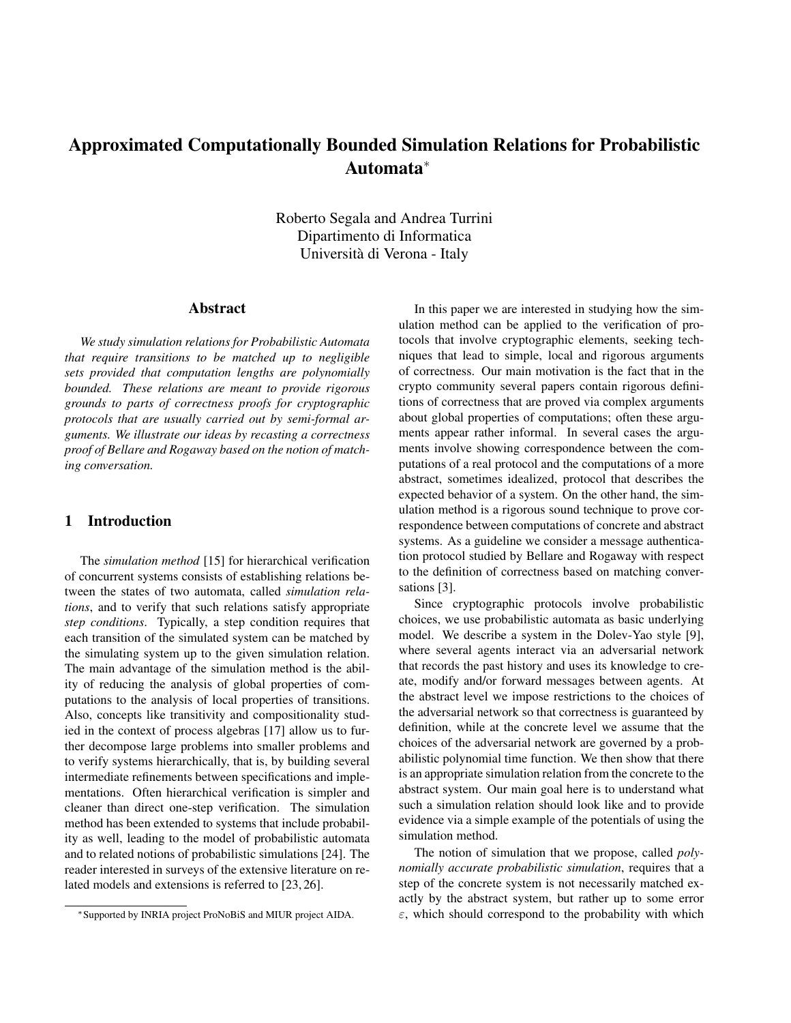# Approximated Computationally Bounded Simulation Relations for Probabilistic Automata<sup>∗</sup>

Roberto Segala and Andrea Turrini Dipartimento di Informatica Universita di Verona - Italy `

### Abstract

*We study simulation relations for Probabilistic Automata that require transitions to be matched up to negligible sets provided that computation lengths are polynomially bounded. These relations are meant to provide rigorous grounds to parts of correctness proofs for cryptographic protocols that are usually carried out by semi-formal arguments. We illustrate our ideas by recasting a correctness proof of Bellare and Rogaway based on the notion of matching conversation.*

### 1 Introduction

The *simulation method* [15] for hierarchical verification of concurrent systems consists of establishing relations between the states of two automata, called *simulation relations*, and to verify that such relations satisfy appropriate *step conditions*. Typically, a step condition requires that each transition of the simulated system can be matched by the simulating system up to the given simulation relation. The main advantage of the simulation method is the ability of reducing the analysis of global properties of computations to the analysis of local properties of transitions. Also, concepts like transitivity and compositionality studied in the context of process algebras [17] allow us to further decompose large problems into smaller problems and to verify systems hierarchically, that is, by building several intermediate refinements between specifications and implementations. Often hierarchical verification is simpler and cleaner than direct one-step verification. The simulation method has been extended to systems that include probability as well, leading to the model of probabilistic automata and to related notions of probabilistic simulations [24]. The reader interested in surveys of the extensive literature on related models and extensions is referred to [23, 26].

In this paper we are interested in studying how the simulation method can be applied to the verification of protocols that involve cryptographic elements, seeking techniques that lead to simple, local and rigorous arguments of correctness. Our main motivation is the fact that in the crypto community several papers contain rigorous definitions of correctness that are proved via complex arguments about global properties of computations; often these arguments appear rather informal. In several cases the arguments involve showing correspondence between the computations of a real protocol and the computations of a more abstract, sometimes idealized, protocol that describes the expected behavior of a system. On the other hand, the simulation method is a rigorous sound technique to prove correspondence between computations of concrete and abstract systems. As a guideline we consider a message authentication protocol studied by Bellare and Rogaway with respect to the definition of correctness based on matching conversations [3].

Since cryptographic protocols involve probabilistic choices, we use probabilistic automata as basic underlying model. We describe a system in the Dolev-Yao style [9], where several agents interact via an adversarial network that records the past history and uses its knowledge to create, modify and/or forward messages between agents. At the abstract level we impose restrictions to the choices of the adversarial network so that correctness is guaranteed by definition, while at the concrete level we assume that the choices of the adversarial network are governed by a probabilistic polynomial time function. We then show that there is an appropriate simulation relation from the concrete to the abstract system. Our main goal here is to understand what such a simulation relation should look like and to provide evidence via a simple example of the potentials of using the simulation method.

The notion of simulation that we propose, called *polynomially accurate probabilistic simulation*, requires that a step of the concrete system is not necessarily matched exactly by the abstract system, but rather up to some error  $\varepsilon$ , which should correspond to the probability with which

<sup>∗</sup>Supported by INRIA project ProNoBiS and MIUR project AIDA.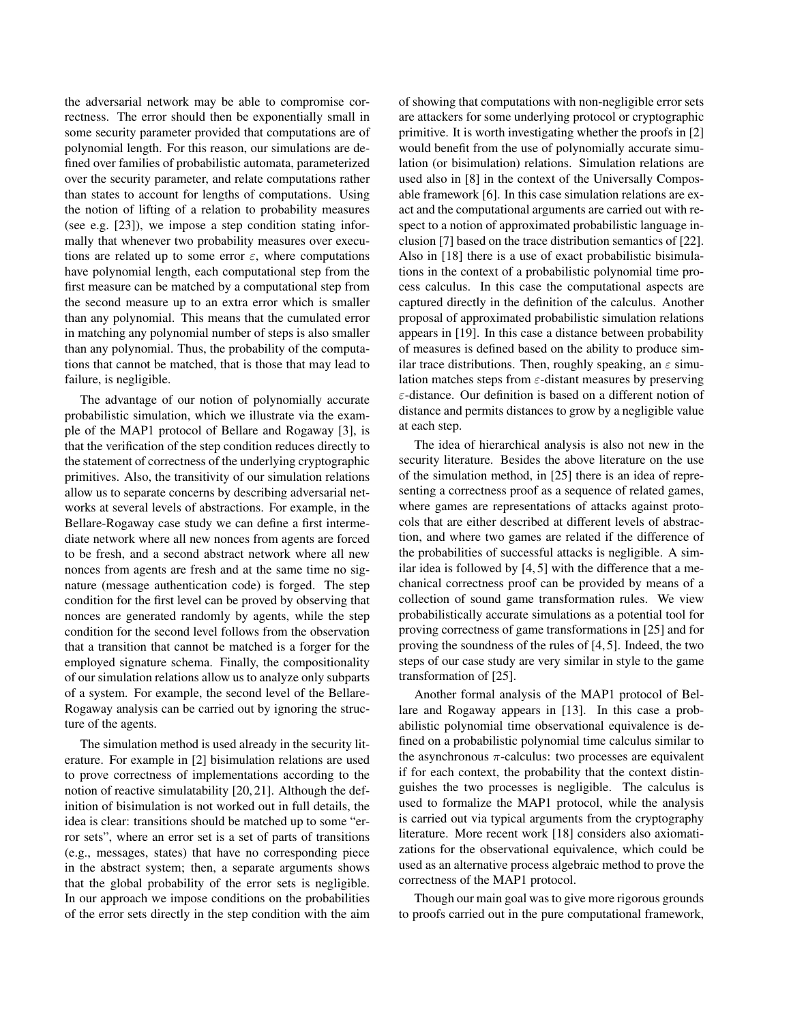the adversarial network may be able to compromise correctness. The error should then be exponentially small in some security parameter provided that computations are of polynomial length. For this reason, our simulations are defined over families of probabilistic automata, parameterized over the security parameter, and relate computations rather than states to account for lengths of computations. Using the notion of lifting of a relation to probability measures (see e.g. [23]), we impose a step condition stating informally that whenever two probability measures over executions are related up to some error  $\varepsilon$ , where computations have polynomial length, each computational step from the first measure can be matched by a computational step from the second measure up to an extra error which is smaller than any polynomial. This means that the cumulated error in matching any polynomial number of steps is also smaller than any polynomial. Thus, the probability of the computations that cannot be matched, that is those that may lead to failure, is negligible.

The advantage of our notion of polynomially accurate probabilistic simulation, which we illustrate via the example of the MAP1 protocol of Bellare and Rogaway [3], is that the verification of the step condition reduces directly to the statement of correctness of the underlying cryptographic primitives. Also, the transitivity of our simulation relations allow us to separate concerns by describing adversarial networks at several levels of abstractions. For example, in the Bellare-Rogaway case study we can define a first intermediate network where all new nonces from agents are forced to be fresh, and a second abstract network where all new nonces from agents are fresh and at the same time no signature (message authentication code) is forged. The step condition for the first level can be proved by observing that nonces are generated randomly by agents, while the step condition for the second level follows from the observation that a transition that cannot be matched is a forger for the employed signature schema. Finally, the compositionality of our simulation relations allow us to analyze only subparts of a system. For example, the second level of the Bellare-Rogaway analysis can be carried out by ignoring the structure of the agents.

The simulation method is used already in the security literature. For example in [2] bisimulation relations are used to prove correctness of implementations according to the notion of reactive simulatability [20, 21]. Although the definition of bisimulation is not worked out in full details, the idea is clear: transitions should be matched up to some "error sets", where an error set is a set of parts of transitions (e.g., messages, states) that have no corresponding piece in the abstract system; then, a separate arguments shows that the global probability of the error sets is negligible. In our approach we impose conditions on the probabilities of the error sets directly in the step condition with the aim of showing that computations with non-negligible error sets are attackers for some underlying protocol or cryptographic primitive. It is worth investigating whether the proofs in [2] would benefit from the use of polynomially accurate simulation (or bisimulation) relations. Simulation relations are used also in [8] in the context of the Universally Composable framework [6]. In this case simulation relations are exact and the computational arguments are carried out with respect to a notion of approximated probabilistic language inclusion [7] based on the trace distribution semantics of [22]. Also in [18] there is a use of exact probabilistic bisimulations in the context of a probabilistic polynomial time process calculus. In this case the computational aspects are captured directly in the definition of the calculus. Another proposal of approximated probabilistic simulation relations appears in [19]. In this case a distance between probability of measures is defined based on the ability to produce similar trace distributions. Then, roughly speaking, an  $\varepsilon$  simulation matches steps from  $\varepsilon$ -distant measures by preserving ε-distance. Our definition is based on a different notion of distance and permits distances to grow by a negligible value at each step.

The idea of hierarchical analysis is also not new in the security literature. Besides the above literature on the use of the simulation method, in [25] there is an idea of representing a correctness proof as a sequence of related games, where games are representations of attacks against protocols that are either described at different levels of abstraction, and where two games are related if the difference of the probabilities of successful attacks is negligible. A similar idea is followed by  $[4, 5]$  with the difference that a mechanical correctness proof can be provided by means of a collection of sound game transformation rules. We view probabilistically accurate simulations as a potential tool for proving correctness of game transformations in [25] and for proving the soundness of the rules of [4, 5]. Indeed, the two steps of our case study are very similar in style to the game transformation of [25].

Another formal analysis of the MAP1 protocol of Bellare and Rogaway appears in [13]. In this case a probabilistic polynomial time observational equivalence is defined on a probabilistic polynomial time calculus similar to the asynchronous  $\pi$ -calculus: two processes are equivalent if for each context, the probability that the context distinguishes the two processes is negligible. The calculus is used to formalize the MAP1 protocol, while the analysis is carried out via typical arguments from the cryptography literature. More recent work [18] considers also axiomatizations for the observational equivalence, which could be used as an alternative process algebraic method to prove the correctness of the MAP1 protocol.

Though our main goal was to give more rigorous grounds to proofs carried out in the pure computational framework,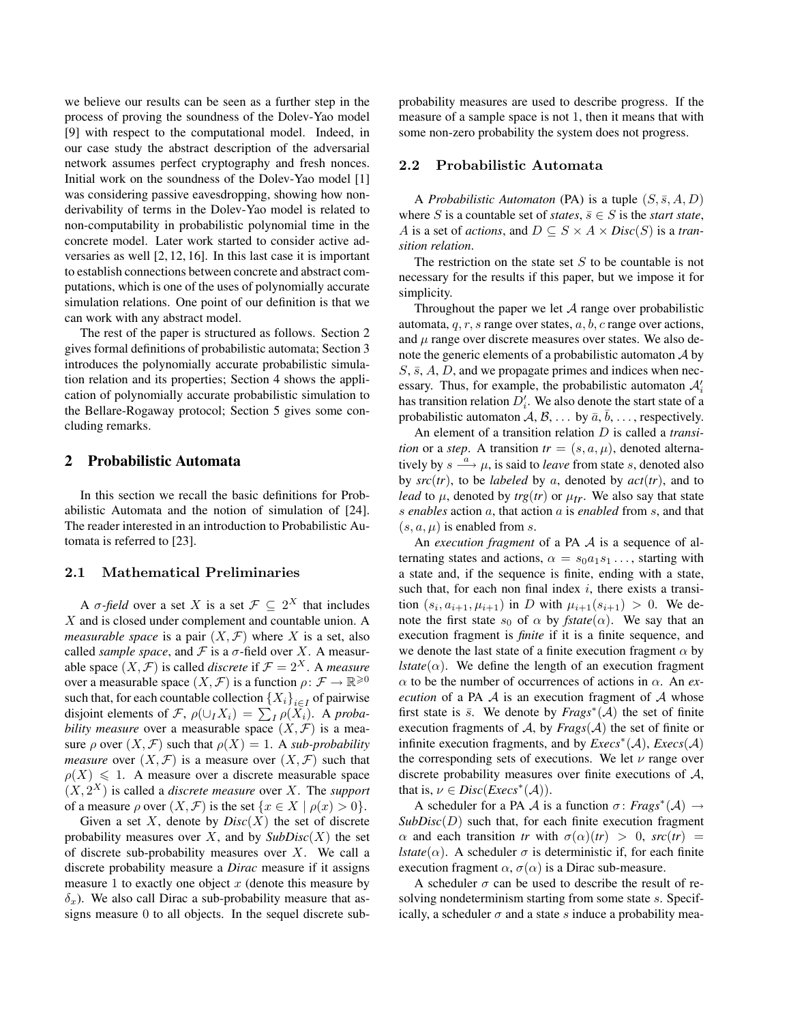we believe our results can be seen as a further step in the process of proving the soundness of the Dolev-Yao model [9] with respect to the computational model. Indeed, in our case study the abstract description of the adversarial network assumes perfect cryptography and fresh nonces. Initial work on the soundness of the Dolev-Yao model [1] was considering passive eavesdropping, showing how nonderivability of terms in the Dolev-Yao model is related to non-computability in probabilistic polynomial time in the concrete model. Later work started to consider active adversaries as well [2, 12, 16]. In this last case it is important to establish connections between concrete and abstract computations, which is one of the uses of polynomially accurate simulation relations. One point of our definition is that we can work with any abstract model.

The rest of the paper is structured as follows. Section 2 gives formal definitions of probabilistic automata; Section 3 introduces the polynomially accurate probabilistic simulation relation and its properties; Section 4 shows the application of polynomially accurate probabilistic simulation to the Bellare-Rogaway protocol; Section 5 gives some concluding remarks.

### 2 Probabilistic Automata

In this section we recall the basic definitions for Probabilistic Automata and the notion of simulation of [24]. The reader interested in an introduction to Probabilistic Automata is referred to [23].

### 2.1 Mathematical Preliminaries

A *σ*-field over a set X is a set  $\mathcal{F} \subseteq 2^X$  that includes X and is closed under complement and countable union. A *measurable space* is a pair  $(X, \mathcal{F})$  where X is a set, also called *sample space*, and  $\mathcal F$  is a  $\sigma$ -field over X. A measurable space  $(X, \mathcal{F})$  is called *discrete* if  $\mathcal{F} = 2^X$ . A *measure* over a measurable space  $(X, \mathcal{F})$  is a function  $\rho \colon \mathcal{F} \to \mathbb{R}^{\geq 0}$ such that, for each countable collection  $\{X_i\}_{i\in I}$  of pairwise disjoint elements of F,  $\rho(\cup_I X_i) = \sum_I \rho(X_i)$ . A *probability measure* over a measurable space  $(X, \mathcal{F})$  is a measure  $\rho$  over  $(X, \mathcal{F})$  such that  $\rho(X) = 1$ . A *sub-probability measure* over  $(X, \mathcal{F})$  is a measure over  $(X, \mathcal{F})$  such that  $\rho(X) \leq 1$ . A measure over a discrete measurable space  $(X, 2^X)$  is called a *discrete measure* over X. The *support* of a measure  $\rho$  over  $(X, \mathcal{F})$  is the set  $\{x \in X \mid \rho(x) > 0\}.$ 

Given a set  $X$ , denote by  $Disc(X)$  the set of discrete probability measures over  $X$ , and by  $SubDisc(X)$  the set of discrete sub-probability measures over  $X$ . We call a discrete probability measure a *Dirac* measure if it assigns measure 1 to exactly one object  $x$  (denote this measure by  $\delta_x$ ). We also call Dirac a sub-probability measure that assigns measure 0 to all objects. In the sequel discrete subprobability measures are used to describe progress. If the measure of a sample space is not 1, then it means that with some non-zero probability the system does not progress.

### 2.2 Probabilistic Automata

A *Probabilistic Automaton* (PA) is a tuple  $(S, \bar{s}, A, D)$ where S is a countable set of *states*,  $\overline{s} \in S$  is the *start state*, A is a set of *actions*, and  $D \subseteq S \times A \times Disc(S)$  is a *transition relation*.

The restriction on the state set  $S$  to be countable is not necessary for the results if this paper, but we impose it for simplicity.

Throughout the paper we let  $A$  range over probabilistic automata,  $q, r, s$  range over states,  $a, b, c$  range over actions, and  $\mu$  range over discrete measures over states. We also denote the generic elements of a probabilistic automaton A by  $S, \bar{s}, A, D$ , and we propagate primes and indices when necessary. Thus, for example, the probabilistic automaton  $\mathcal{A}'_i$ has transition relation  $D_i'$ . We also denote the start state of a probabilistic automaton  $\mathcal{A}, \mathcal{B}, \ldots$  by  $\bar{a}, \bar{b}, \ldots$ , respectively.

An element of a transition relation D is called a *transition* or a *step*. A transition  $tr = (s, a, \mu)$ , denoted alternatively by  $s \stackrel{a}{\longrightarrow} \mu$ , is said to *leave* from state s, denoted also by  $src(tr)$ , to be *labeled* by a, denoted by  $act(tr)$ , and to *lead* to  $\mu$ , denoted by *trg*(*tr*) or  $\mu$ <sub>*tr*</sub>. We also say that state s *enables* action a, that action a is *enabled* from s, and that  $(s, a, \mu)$  is enabled from s.

An *execution fragment* of a PA A is a sequence of alternating states and actions,  $\alpha = s_0 a_1 s_1 \dots$ , starting with a state and, if the sequence is finite, ending with a state, such that, for each non final index  $i$ , there exists a transition  $(s_i, a_{i+1}, \mu_{i+1})$  in D with  $\mu_{i+1}(s_{i+1}) > 0$ . We denote the first state  $s_0$  of  $\alpha$  by *fstate*( $\alpha$ ). We say that an execution fragment is *finite* if it is a finite sequence, and we denote the last state of a finite execution fragment  $\alpha$  by *lstate*( $\alpha$ ). We define the length of an execution fragment α to be the number of occurrences of actions in α. An *execution* of a PA  $\mathcal A$  is an execution fragment of  $\mathcal A$  whose first state is  $\bar{s}$ . We denote by  $Frags^*(A)$  the set of finite execution fragments of  $A$ , by  $Frags(A)$  the set of finite or infinite execution fragments, and by  $Execs^*(A)$ ,  $Execs(A)$ the corresponding sets of executions. We let  $\nu$  range over discrete probability measures over finite executions of A, that is,  $\nu \in Disc(Execs^*(\mathcal{A})).$ 

A scheduler for a PA A is a function  $\sigma$ :  $Frags^*(A) \rightarrow$  $SubDisc(D)$  such that, for each finite execution fragment  $\alpha$  and each transition *tr* with  $\sigma(\alpha)(tr) > 0$ ,  $src(tr) =$ *lstate*( $\alpha$ ). A scheduler  $\sigma$  is deterministic if, for each finite execution fragment  $\alpha$ ,  $\sigma(\alpha)$  is a Dirac sub-measure.

A scheduler  $\sigma$  can be used to describe the result of resolving nondeterminism starting from some state s. Specifically, a scheduler  $\sigma$  and a state s induce a probability mea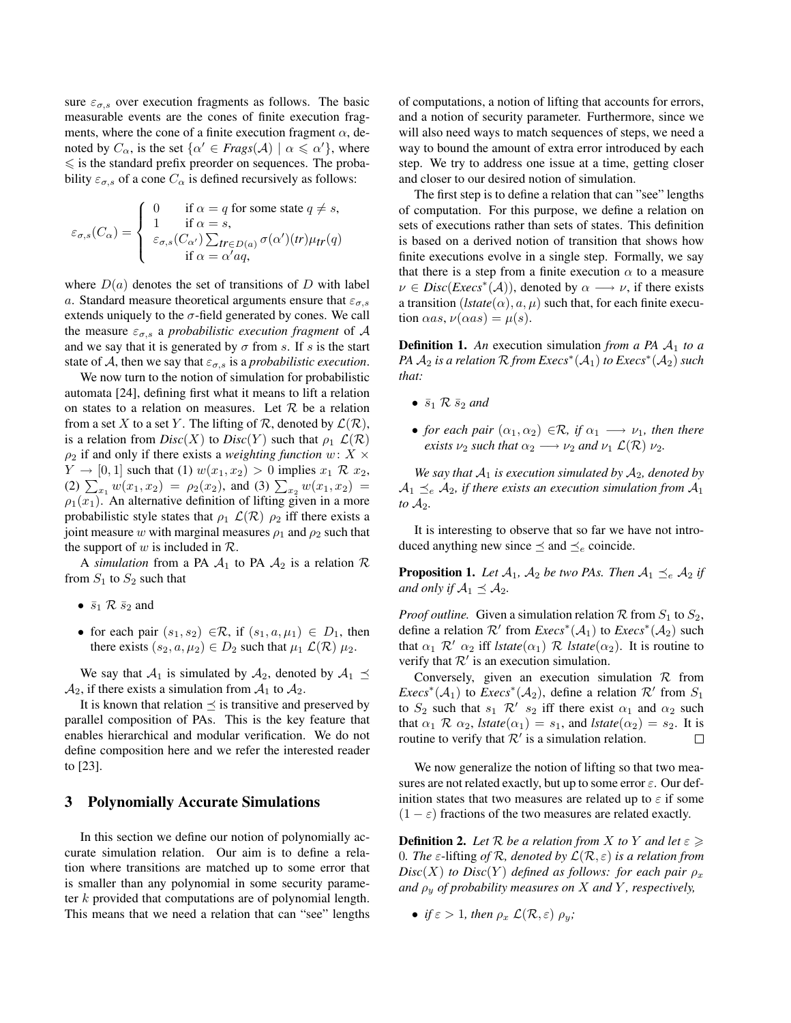sure  $\varepsilon_{\sigma,s}$  over execution fragments as follows. The basic measurable events are the cones of finite execution fragments, where the cone of a finite execution fragment  $\alpha$ , denoted by  $C_{\alpha}$ , is the set  $\{\alpha' \in Frags(\mathcal{A}) \mid \alpha \leq \alpha'\}$ , where  $\leq$  is the standard prefix preorder on sequences. The probability  $\varepsilon_{\sigma,s}$  of a cone  $C_{\alpha}$  is defined recursively as follows:

$$
\varepsilon_{\sigma,s}(C_{\alpha}) = \begin{cases}\n0 & \text{if } \alpha = q \text{ for some state } q \neq s, \\
1 & \text{if } \alpha = s, \\
\varepsilon_{\sigma,s}(C_{\alpha'}) \sum_{tr \in D(a)} \sigma(\alpha')(tr)\mu_{tr}(q) \\
& \text{if } \alpha = \alpha' aq,\n\end{cases}
$$

where  $D(a)$  denotes the set of transitions of D with label a. Standard measure theoretical arguments ensure that  $\varepsilon_{\sigma,s}$ extends uniquely to the  $\sigma$ -field generated by cones. We call the measure  $\varepsilon_{\sigma,s}$  a *probabilistic execution fragment* of A and we say that it is generated by  $\sigma$  from s. If s is the start state of A, then we say that  $\varepsilon_{\sigma,s}$  is a *probabilistic execution*.

We now turn to the notion of simulation for probabilistic automata [24], defining first what it means to lift a relation on states to a relation on measures. Let  $R$  be a relation from a set X to a set Y. The lifting of R, denoted by  $\mathcal{L}(\mathcal{R})$ , is a relation from  $Disc(X)$  to  $Disc(Y)$  such that  $\rho_1 \mathcal{L}(\mathcal{R})$  $\rho_2$  if and only if there exists a *weighting function*  $w: X \times Y$  $Y \rightarrow [0, 1]$  such that (1)  $w(x_1, x_2) > 0$  implies  $x_1 \mathcal{R} x_2$ , (2)  $\sum_{x_1} w(x_1, x_2) = \rho_2(x_2)$ , and (3)  $\sum_{x_2} w(x_1, x_2) =$  $\rho_1(x_1)$ . An alternative definition of lifting given in a more probabilistic style states that  $\rho_1 \mathcal{L}(\mathcal{R})$   $\rho_2$  iff there exists a joint measure w with marginal measures  $\rho_1$  and  $\rho_2$  such that the support of  $w$  is included in  $\mathcal{R}$ .

A *simulation* from a PA  $A_1$  to PA  $A_2$  is a relation  $R$ from  $S_1$  to  $S_2$  such that

- $\bar{s}_1 \mathcal{R} \bar{s}_2$  and
- for each pair  $(s_1, s_2) \in \mathcal{R}$ , if  $(s_1, a, \mu_1) \in D_1$ , then there exists  $(s_2, a, \mu_2) \in D_2$  such that  $\mu_1 \mathcal{L}(\mathcal{R}) \mu_2$ .

We say that  $A_1$  is simulated by  $A_2$ , denoted by  $A_1 \preceq$  $A_2$ , if there exists a simulation from  $A_1$  to  $A_2$ .

It is known that relation  $\preceq$  is transitive and preserved by parallel composition of PAs. This is the key feature that enables hierarchical and modular verification. We do not define composition here and we refer the interested reader to [23].

# 3 Polynomially Accurate Simulations

In this section we define our notion of polynomially accurate simulation relation. Our aim is to define a relation where transitions are matched up to some error that is smaller than any polynomial in some security parameter k provided that computations are of polynomial length. This means that we need a relation that can "see" lengths of computations, a notion of lifting that accounts for errors, and a notion of security parameter. Furthermore, since we will also need ways to match sequences of steps, we need a way to bound the amount of extra error introduced by each step. We try to address one issue at a time, getting closer and closer to our desired notion of simulation.

The first step is to define a relation that can "see" lengths of computation. For this purpose, we define a relation on sets of executions rather than sets of states. This definition is based on a derived notion of transition that shows how finite executions evolve in a single step. Formally, we say that there is a step from a finite execution  $\alpha$  to a measure  $\nu \in Disc(Execs^*(\mathcal{A}))$ , denoted by  $\alpha \longrightarrow \nu$ , if there exists a transition ( $lstate(\alpha)$ ,  $a, \mu$ ) such that, for each finite execution  $\alpha as$ ,  $\nu(\alpha as) = \mu(s)$ .

**Definition 1.** An execution simulation *from a PA*  $A_1$  to a  $PA$   $\mathcal{A}_2$  *is a relation*  $\mathcal{R}$  *from Execs*\* $(\mathcal{A}_1)$  *to Execs*\* $(\mathcal{A}_2)$  *such that:*

- $\bar{s}_1 \mathcal{R} \bar{s}_2$  *and*
- *for each pair*  $(\alpha_1, \alpha_2) \in \mathcal{R}$ , if  $\alpha_1 \longrightarrow \nu_1$ , then there *exists*  $\nu_2$  *such that*  $\alpha_2 \longrightarrow \nu_2$  *and*  $\nu_1 \mathcal{L}(\mathcal{R}) \nu_2$ *.*

*We say that*  $A_1$  *is execution simulated by*  $A_2$ *, denoted by*  $A_1 \preceq_e A_2$ , if there exists an execution simulation from  $A_1$ *to*  $A_2$ *.* 

It is interesting to observe that so far we have not introduced anything new since  $\preceq$  and  $\preceq_e$  coincide.

**Proposition 1.** Let  $A_1$ ,  $A_2$  be two PAs. Then  $A_1 \preceq_e A_2$  if *and only if*  $A_1 \preceq A_2$ *.* 

*Proof outline.* Given a simulation relation  $\mathcal R$  from  $S_1$  to  $S_2$ , define a relation  $\mathcal{R}'$  from  $Execs^*(\mathcal{A}_1)$  to  $Execs^*(\mathcal{A}_2)$  such that  $\alpha_1 \mathcal{R}'$   $\alpha_2$  iff *lstate*( $\alpha_1$ )  $\mathcal{R}$  *lstate*( $\alpha_2$ ). It is routine to verify that  $\mathcal{R}'$  is an execution simulation.

Conversely, given an execution simulation  $\mathcal R$  from  $Execs^*(A_1)$  to  $Execs^*(A_2)$ , define a relation  $\mathcal{R}'$  from  $S_1$ to  $S_2$  such that  $s_1 \mathcal{R}'$   $s_2$  iff there exist  $\alpha_1$  and  $\alpha_2$  such that  $\alpha_1 \mathcal{R} \alpha_2$ , *lstate* $(\alpha_1) = s_1$ , and *lstate* $(\alpha_2) = s_2$ . It is routine to verify that  $\mathcal{R}'$  is a simulation relation.  $\Box$ 

We now generalize the notion of lifting so that two measures are not related exactly, but up to some error  $\varepsilon$ . Our definition states that two measures are related up to  $\varepsilon$  if some  $(1 - \varepsilon)$  fractions of the two measures are related exactly.

**Definition 2.** Let R be a relation from X to Y and let  $\varepsilon \geqslant$ 0*. The* ε-lifting *of* R*, denoted by* L(R, ε) *is a relation from*  $Disc(X)$  *to Disc* $(Y)$  *defined as follows: for each pair*  $\rho_x$ *and*  $\rho_y$  *of probability measures on* X *and* Y, *respectively*,

• *if*  $\varepsilon > 1$ *, then*  $\rho_x \mathcal{L}(\mathcal{R}, \varepsilon) \rho_y$ *;*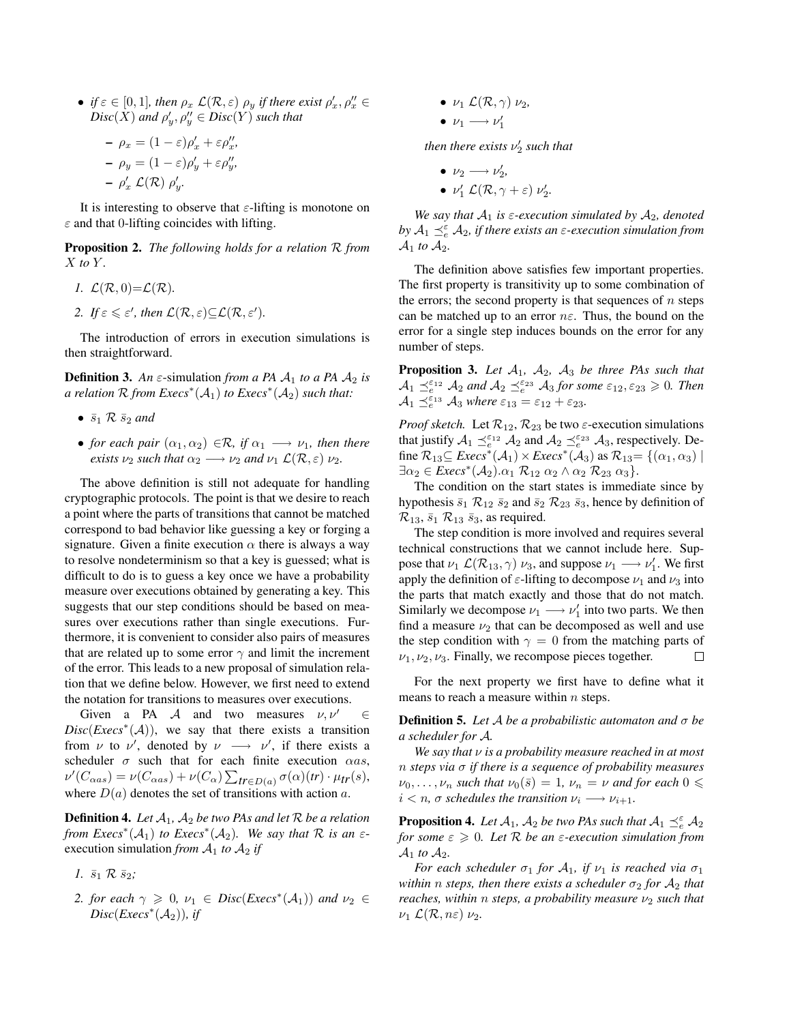• *if*  $\varepsilon \in [0,1]$ , then  $\rho_x \mathcal{L}(\mathcal{R}, \varepsilon)$   $\rho_y$  if there exist  $\rho'_x, \rho''_x \in$  $Disc(X)$  and  $\rho'_{y}, \rho''_{y} \in Disc(Y)$  such that

$$
- \rho_x = (1 - \varepsilon)\rho'_x + \varepsilon \rho''_x,
$$
  

$$
- \rho_y = (1 - \varepsilon)\rho'_y + \varepsilon \rho''_y,
$$
  

$$
- \rho'_x \mathcal{L}(\mathcal{R}) \rho'_y.
$$

It is interesting to observe that  $\varepsilon$ -lifting is monotone on  $\varepsilon$  and that 0-lifting coincides with lifting.

Proposition 2. *The following holds for a relation* R *from* X *to* Y *.*

- *1.*  $\mathcal{L}(\mathcal{R}, 0) = \mathcal{L}(\mathcal{R})$ .
- 2. If  $\varepsilon \leq \varepsilon'$ , then  $\mathcal{L}(\mathcal{R}, \varepsilon) \subseteq \mathcal{L}(\mathcal{R}, \varepsilon')$ .

The introduction of errors in execution simulations is then straightforward.

**Definition 3.** An  $\varepsilon$ -simulation *from a PA*  $A_1$  *to a PA*  $A_2$  *is*  $a$  relation  $\mathcal R$  *from Execs*<sup>\*</sup> $(\mathcal A_1)$  *to Execs*<sup>\*</sup> $(\mathcal A_2)$  *such that:* 

- $\bar{s}_1 \mathcal{R} \bar{s}_2$  *and*
- *for each pair*  $(\alpha_1, \alpha_2) \in \mathcal{R}$ , *if*  $\alpha_1 \longrightarrow \nu_1$ , *then there exists*  $\nu_2$  *such that*  $\alpha_2 \longrightarrow \nu_2$  *and*  $\nu_1 \mathcal{L}(\mathcal{R}, \varepsilon) \nu_2$ *.*

The above definition is still not adequate for handling cryptographic protocols. The point is that we desire to reach a point where the parts of transitions that cannot be matched correspond to bad behavior like guessing a key or forging a signature. Given a finite execution  $\alpha$  there is always a way to resolve nondeterminism so that a key is guessed; what is difficult to do is to guess a key once we have a probability measure over executions obtained by generating a key. This suggests that our step conditions should be based on measures over executions rather than single executions. Furthermore, it is convenient to consider also pairs of measures that are related up to some error  $\gamma$  and limit the increment of the error. This leads to a new proposal of simulation relation that we define below. However, we first need to extend the notation for transitions to measures over executions.

Given a PA A and two measures  $v, v' \in$  $Disc(Execs^*(A))$ , we say that there exists a transition from  $\nu$  to  $\nu'$ , denoted by  $\nu \longrightarrow \nu'$ , if there exists a scheduler  $\sigma$  such that for each finite execution  $\alpha as$ ,  $\nu'(C_{\alpha as}) = \nu(C_{\alpha as}) + \nu(C_{\alpha}) \sum_{tr \in D(a)} \sigma(\alpha)(tr) \cdot \mu_{tr}(s),$ where  $D(a)$  denotes the set of transitions with action a.

Definition 4. *Let* A1*,* A<sup>2</sup> *be two PAs and let* R *be a relation from Execs*<sup>\*</sup> $(A_1)$  *to Execs*<sup>\*</sup> $(A_2)$ *. We say that*  $R$  *is an*  $\varepsilon$ execution simulation *from*  $A_1$  *to*  $A_2$  *if* 

- *1.*  $\bar{s}_1 \mathcal{R} \bar{s}_2$ ;
- *2. for each*  $\gamma \geq 0$ ,  $\nu_1 \in Disc(Execs^*(\mathcal{A}_1))$  *and*  $\nu_2 \in$ *Disc*(*Execs*<sup>∗</sup> (A2))*, if*
- $\nu_1 \mathcal{L}(\mathcal{R}, \gamma) \nu_2$
- $\nu_1 \longrightarrow \nu'_1$

*then there exists*  $\nu'_{2}$  *such that* 

\n- $$
\nu_2 \longrightarrow \nu'_2
$$
,
\n- $\nu'_1 \mathcal{L}(\mathcal{R}, \gamma + \varepsilon) \nu'_2$ .
\n

*We say that*  $A_1$  *is*  $\varepsilon$ -execution simulated by  $A_2$ , denoted by  $\mathcal{A}_1 \preceq_e^\varepsilon \mathcal{A}_2$ , if there exists an  $\varepsilon$ -execution simulation from  $\mathcal{A}_1$  *to*  $\mathcal{A}_2$ *.* 

The definition above satisfies few important properties. The first property is transitivity up to some combination of the errors; the second property is that sequences of  $n$  steps can be matched up to an error  $n\epsilon$ . Thus, the bound on the error for a single step induces bounds on the error for any number of steps.

**Proposition 3.** Let  $A_1$ ,  $A_2$ ,  $A_3$  be three PAs such that  $A_1 \preceq_e^{\varepsilon_{12}} A_2$  and  $A_2 \preceq_e^{\varepsilon_{23}} A_3$  for some  $\varepsilon_{12}, \varepsilon_{23} \geq 0$ . Then  $A_1 \preceq_e^{\varepsilon_{13}} A_3$  where  $\varepsilon_{13} = \varepsilon_{12} + \varepsilon_{23}$ .

*Proof sketch.* Let  $\mathcal{R}_{12}$ ,  $\mathcal{R}_{23}$  be two  $\varepsilon$ -execution simulations that justify  $A_1 \preceq_e^{\varepsilon_{12}} A_2$  and  $A_2 \preceq_e^{\varepsilon_{23}} A_3$ , respectively. Define  $\mathcal{R}_{13} \subseteq \mathit{Execs}^*(\mathcal{A}_1) \times \mathit{Execs}^*(\mathcal{A}_3)$  as  $\mathcal{R}_{13} = \{(\alpha_1, \alpha_3) \mid \alpha_2 \in \mathcal{R} \}$  $\exists \alpha_2 \in \mathit{Execs}^*(\mathcal{A}_2).\alpha_1 \; \mathcal{R}_{12} \; \alpha_2 \wedge \alpha_2 \; \mathcal{R}_{23} \; \alpha_3\}.$ 

The condition on the start states is immediate since by hypothesis  $\bar{s}_1$   $\mathcal{R}_{12}$   $\bar{s}_2$  and  $\bar{s}_2$   $\mathcal{R}_{23}$   $\bar{s}_3$ , hence by definition of  $\mathcal{R}_{13}$ ,  $\bar{s}_1$   $\mathcal{R}_{13}$   $\bar{s}_3$ , as required.

The step condition is more involved and requires several technical constructions that we cannot include here. Suppose that  $\nu_1 \mathcal{L}(\mathcal{R}_{13}, \gamma) \nu_3$ , and suppose  $\nu_1 \longrightarrow \nu'_1$ . We first apply the definition of  $\varepsilon$ -lifting to decompose  $\nu_1$  and  $\nu_3$  into the parts that match exactly and those that do not match. Similarly we decompose  $\nu_1 \longrightarrow \nu'_1$  into two parts. We then find a measure  $\nu_2$  that can be decomposed as well and use the step condition with  $\gamma = 0$  from the matching parts of  $\nu_1, \nu_2, \nu_3$ . Finally, we recompose pieces together.  $\Box$ 

For the next property we first have to define what it means to reach a measure within  $n$  steps.

**Definition 5.** Let  $A$  be a probabilistic automaton and  $\sigma$  be *a scheduler for* A*.*

*We say that* ν *is a probability measure reached in at most* n *steps via* σ *if there is a sequence of probability measures*  $\nu_0, \ldots, \nu_n$  such that  $\nu_0(\bar{s}) = 1$ ,  $\nu_n = \nu$  and for each  $0 \leq$  $i < n$ ,  $\sigma$  *schedules the transition*  $\nu_i \longrightarrow \nu_{i+1}$ .

**Proposition 4.** Let  $\mathcal{A}_1$ ,  $\mathcal{A}_2$  be two PAs such that  $\mathcal{A}_1 \preceq_e^{\varepsilon} \mathcal{A}_2$ *for some* ε > 0*. Let* R *be an* ε*-execution simulation from*  $\mathcal{A}_1$  *to*  $\mathcal{A}_2$ *.* 

*For each scheduler*  $\sigma_1$  *for*  $\mathcal{A}_1$ *, if*  $\nu_1$  *is reached via*  $\sigma_1$ *within n steps, then there exists a scheduler*  $\sigma_2$  *for*  $A_2$  *that reaches, within n steps, a probability measure*  $\nu_2$  *such that*  $\nu_1 \mathcal{L}(\mathcal{R}, n\varepsilon) \nu_2$ .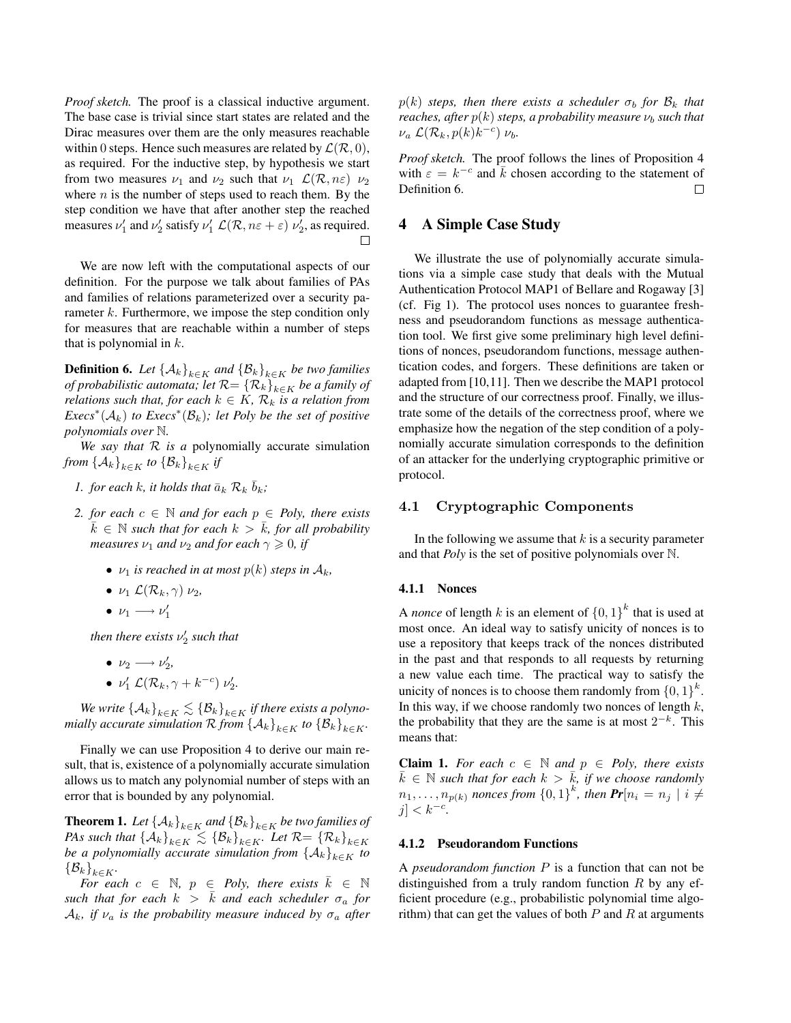*Proof sketch.* The proof is a classical inductive argument. The base case is trivial since start states are related and the Dirac measures over them are the only measures reachable within 0 steps. Hence such measures are related by  $\mathcal{L}(\mathcal{R}, 0)$ , as required. For the inductive step, by hypothesis we start from two measures  $\nu_1$  and  $\nu_2$  such that  $\nu_1 \mathcal{L}(\mathcal{R}, n\varepsilon)$   $\nu_2$ where  $n$  is the number of steps used to reach them. By the step condition we have that after another step the reached measures  $\nu'_1$  and  $\nu'_2$  satisfy  $\nu'_1 \mathcal{L}(\mathcal{R}, n\varepsilon + \varepsilon) \nu'_2$ , as required.  $\Box$ 

We are now left with the computational aspects of our definition. For the purpose we talk about families of PAs and families of relations parameterized over a security parameter  $k$ . Furthermore, we impose the step condition only for measures that are reachable within a number of steps that is polynomial in  $k$ .

**Definition 6.** *Let*  $\{A_k\}_{k\in K}$  *and*  $\{B_k\}_{k\in K}$  *be two families of probabilistic automata; let*  $\mathcal{R} = {\{\mathcal{R}_k\}}_{k \in K}$  *be a family of relations such that, for each*  $k \in K$ ,  $\mathcal{R}_k$  *is a relation from*  $Execs^*(A_k)$  *to*  $Execs^*(B_k)$ ; let Poly be the set of positive *polynomials over* N*.*

*We say that* R *is a* polynomially accurate simulation *from*  $\{A_k\}_{k\in K}$  *to*  $\{B_k\}_{k\in K}$  *if* 

- 1. for each k, it holds that  $\bar{a}_k \mathcal{R}_k \bar{b}_k$ ;
- *2. for each*  $c \in \mathbb{N}$  *and for each*  $p \in Poly$ , *there exists*  $\overline{k} \in \mathbb{N}$  *such that for each*  $k > \overline{k}$ *, for all probability measures*  $\nu_1$  *and*  $\nu_2$  *and for each*  $\gamma \geq 0$ *, if* 
	- $\nu_1$  *is reached in at most*  $p(k)$  *steps in*  $\mathcal{A}_k$ *,*
	- $\nu_1 \mathcal{L}(\mathcal{R}_k, \gamma) \nu_2$
	- $\nu_1 \longrightarrow \nu'_1$

*then there exists*  $\nu'_{2}$  *such that* 

- $\bullet \ \nu_2 \longrightarrow \nu_2',$
- $\nu'_1 \mathcal{L}(\mathcal{R}_k, \gamma + k^{-c}) \nu'_2$ .

*We write*  ${A_k}_{k \in K} \lesssim {B_k}_{k \in K}$  *if there exists a polynomially accurate simulation*  $\mathcal{R}$  *from*  $\{A_k\}_{k\in K}$  *to*  $\{B_k\}_{k\in K}$ *.* 

Finally we can use Proposition 4 to derive our main result, that is, existence of a polynomially accurate simulation allows us to match any polynomial number of steps with an error that is bounded by any polynomial.

**Theorem 1.** *Let*  $\{A_k\}_{k\in K}$  *and*  $\{B_k\}_{k\in K}$  *be two families of PAs such that*  $\{A_k\}_{k\in K} \leq {\{B_k\}}_{k\in K}$ . Let  $\mathcal{R} = {\{R_k\}}_{k\in K}$ *be a polynomially accurate simulation from*  $\{A_k\}_{k\in K}$  *to*  $\{\mathcal{B}_k\}_{k\in K}$ .

*For each*  $c \in \mathbb{N}$ ,  $p \in Poly$ , there exists  $\overline{k} \in \mathbb{N}$ *such that for each*  $k > \bar{k}$  *and each scheduler*  $\sigma_a$  *for*  $A_k$ *, if*  $\nu_a$  *is the probability measure induced by*  $\sigma_a$  *after*   $p(k)$  *steps, then there exists a scheduler*  $\sigma_b$  *for*  $\mathcal{B}_k$  *that reaches, after*  $p(k)$  *steps, a probability measure*  $\nu_b$  *such that*  $\nu_a \mathcal{L}(\mathcal{R}_k, p(k)k^{-c}) \nu_b.$ 

*Proof sketch.* The proof follows the lines of Proposition 4 with  $\varepsilon = k^{-c}$  and  $\overline{k}$  chosen according to the statement of Definition 6.  $\Box$ 

# 4 A Simple Case Study

We illustrate the use of polynomially accurate simulations via a simple case study that deals with the Mutual Authentication Protocol MAP1 of Bellare and Rogaway [3] (cf. Fig 1). The protocol uses nonces to guarantee freshness and pseudorandom functions as message authentication tool. We first give some preliminary high level definitions of nonces, pseudorandom functions, message authentication codes, and forgers. These definitions are taken or adapted from [10,11]. Then we describe the MAP1 protocol and the structure of our correctness proof. Finally, we illustrate some of the details of the correctness proof, where we emphasize how the negation of the step condition of a polynomially accurate simulation corresponds to the definition of an attacker for the underlying cryptographic primitive or protocol.

### 4.1 Cryptographic Components

In the following we assume that  $k$  is a security parameter and that *Poly* is the set of positive polynomials over N.

### 4.1.1 Nonces

A *nonce* of length  $k$  is an element of  ${0, 1}^k$  that is used at most once. An ideal way to satisfy unicity of nonces is to use a repository that keeps track of the nonces distributed in the past and that responds to all requests by returning a new value each time. The practical way to satisfy the unicity of nonces is to choose them randomly from  ${0, 1}^k$ . In this way, if we choose randomly two nonces of length  $k$ , the probability that they are the same is at most  $2^{-k}$ . This means that:

**Claim 1.** For each  $c \in \mathbb{N}$  and  $p \in Poly$ , there exists  $\overline{k} \in \mathbb{N}$  *such that for each*  $k > \overline{k}$ *, if we choose randomly*  $n_1, \ldots, n_{p(k)}$  nonces from  $\{0,1\}^k$ , then  $\Pr[n_i = n_j \mid i \neq j]$  $|j| < k^{-c}$ .

### 4.1.2 Pseudorandom Functions

A *pseudorandom function* P is a function that can not be distinguished from a truly random function  $R$  by any efficient procedure (e.g., probabilistic polynomial time algorithm) that can get the values of both  $P$  and  $R$  at arguments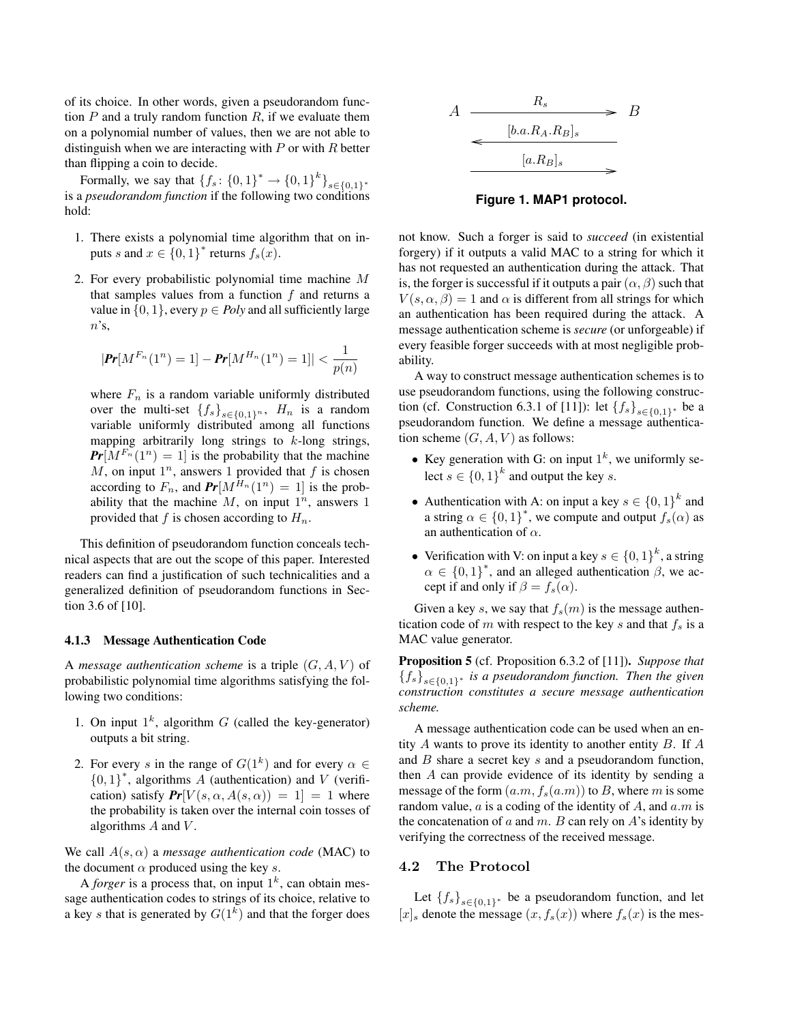of its choice. In other words, given a pseudorandom function  $P$  and a truly random function  $R$ , if we evaluate them on a polynomial number of values, then we are not able to distinguish when we are interacting with  $P$  or with  $R$  better than flipping a coin to decide.

Formally, we say that  $\{f_s: \{0,1\}^* \to \{0,1\}^k\}_{s \in \{0,1\}^*}$  is a *pseudorandom function* if the following two conditions hold:

- 1. There exists a polynomial time algorithm that on inputs s and  $x \in \{0,1\}^*$  returns  $f_s(x)$ .
- 2. For every probabilistic polynomial time machine M that samples values from a function  $f$  and returns a value in  $\{0, 1\}$ , every  $p \in Poly$  and all sufficiently large  $n$ 's,

$$
|\textbf{\textit{Pr}}[M^{\mathit{F}_n}(1^n)=1]-\textbf{\textit{Pr}}[M^{\mathit{H}_n}(1^n)=1]|<\frac{1}{p(n)}
$$

where  $F_n$  is a random variable uniformly distributed over the multi-set  $\{f_s\}_{s\in\{0,1\}^n}$ ,  $H_n$  is a random variable uniformly distributed among all functions mapping arbitrarily long strings to  $k$ -long strings,  $Pr[M^{F_n}(1^n) = 1]$  is the probability that the machine M, on input  $1^n$ , answers 1 provided that f is chosen according to  $F_n$ , and  $Pr[M^{H_n}(1^n) = 1]$  is the probability that the machine  $M$ , on input  $1^n$ , answers 1 provided that f is chosen according to  $H_n$ .

This definition of pseudorandom function conceals technical aspects that are out the scope of this paper. Interested readers can find a justification of such technicalities and a generalized definition of pseudorandom functions in Section 3.6 of [10].

### 4.1.3 Message Authentication Code

A *message authentication scheme* is a triple  $(G, A, V)$  of probabilistic polynomial time algorithms satisfying the following two conditions:

- 1. On input  $1^k$ , algorithm G (called the key-generator) outputs a bit string.
- 2. For every s in the range of  $G(1^k)$  and for every  $\alpha \in$  ${0,1}^*$ , algorithms A (authentication) and V (verification) satisfy  $Pr[V(s, \alpha, A(s, \alpha))] = 1] = 1$  where the probability is taken over the internal coin tosses of algorithms  $A$  and  $V$ .

We call  $A(s, \alpha)$  a *message authentication code* (MAC) to the document  $\alpha$  produced using the key s.

A *forger* is a process that, on input  $1<sup>k</sup>$ , can obtain message authentication codes to strings of its choice, relative to a key s that is generated by  $G(1^k)$  and that the forger does

$$
A \xrightarrow{\begin{array}{c} R_s \\ [b.a.R_A.R_B]_s \end{array}} B
$$
\n
$$
\xrightarrow{\begin{array}{c} [b.a.R_A.R_B]_s \\ [a.R_B]_s \end{array}}
$$

### **Figure 1. MAP1 protocol.**

not know. Such a forger is said to *succeed* (in existential forgery) if it outputs a valid MAC to a string for which it has not requested an authentication during the attack. That is, the forger is successful if it outputs a pair  $(\alpha, \beta)$  such that  $V(s, \alpha, \beta) = 1$  and  $\alpha$  is different from all strings for which an authentication has been required during the attack. A message authentication scheme is *secure* (or unforgeable) if every feasible forger succeeds with at most negligible probability.

A way to construct message authentication schemes is to use pseudorandom functions, using the following construction (cf. Construction 6.3.1 of [11]): let  ${f_s}_{s \in \{0,1\}^*}$  be a pseudorandom function. We define a message authentication scheme  $(G, A, V)$  as follows:

- Key generation with G: on input  $1^k$ , we uniformly select  $s \in \{0,1\}^k$  and output the key s.
- Authentication with A: on input a key  $s \in \{0,1\}^k$  and a string  $\alpha \in \{0,1\}^*$ , we compute and output  $f_s(\alpha)$  as an authentication of  $\alpha$ .
- Verification with V: on input a key  $s \in \{0,1\}^k$ , a string  $\alpha \in \{0,1\}^*$ , and an alleged authentication  $\beta$ , we accept if and only if  $\beta = f_s(\alpha)$ .

Given a key s, we say that  $f_s(m)$  is the message authentication code of m with respect to the key s and that  $f_s$  is a MAC value generator.

Proposition 5 (cf. Proposition 6.3.2 of [11]). *Suppose that*  ${f_s}_{s \in \{0,1\}^*}$  *is a pseudorandom function. Then the given construction constitutes a secure message authentication scheme.*

A message authentication code can be used when an entity  $A$  wants to prove its identity to another entity  $B$ . If  $A$ and B share a secret key s and a pseudorandom function, then A can provide evidence of its identity by sending a message of the form  $(a.m, f_s(a.m))$  to B, where m is some random value,  $a$  is a coding of the identity of  $A$ , and  $a.m$  is the concatenation of a and m. B can rely on A's identity by verifying the correctness of the received message.

## 4.2 The Protocol

Let  ${f_s}_{s \in {0,1}^*}$  be a pseudorandom function, and let  $[x]_s$  denote the message  $(x, f_s(x))$  where  $f_s(x)$  is the mes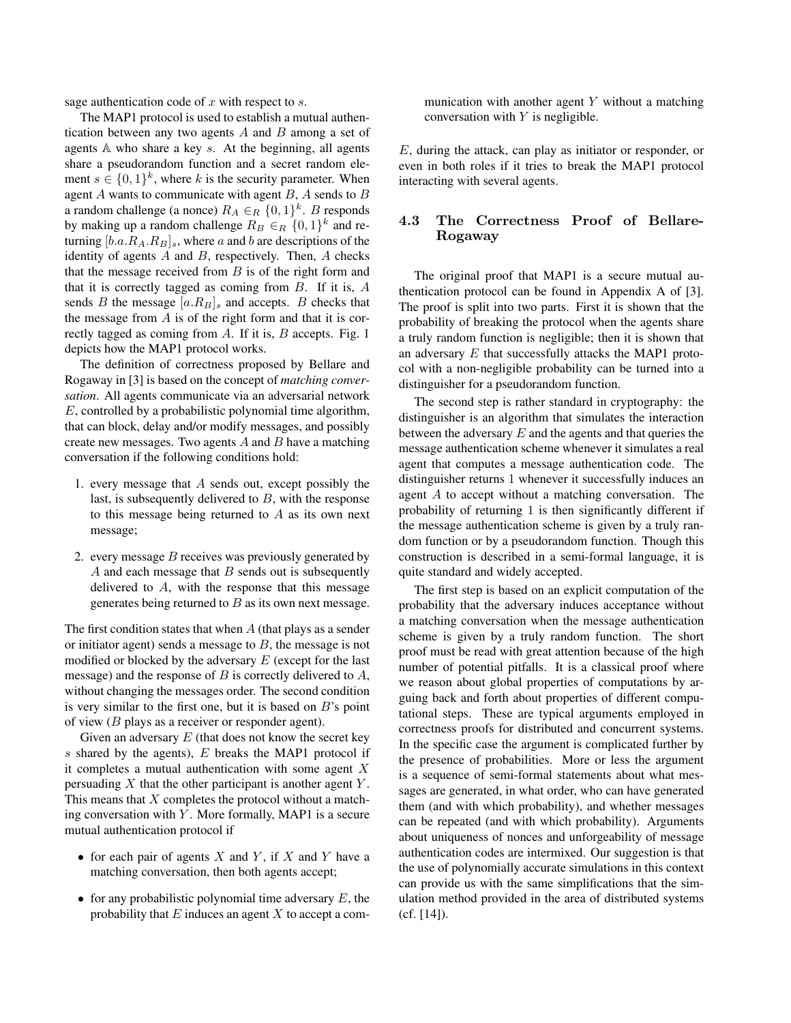sage authentication code of  $x$  with respect to  $s$ .

The MAP1 protocol is used to establish a mutual authentication between any two agents  $A$  and  $B$  among a set of agents  $A$  who share a key  $s$ . At the beginning, all agents share a pseudorandom function and a secret random element  $s \in \{0,1\}^k$ , where k is the security parameter. When agent  $A$  wants to communicate with agent  $B$ ,  $A$  sends to  $B$ a random challenge (a nonce)  $R_A \in_R \{0,1\}^k$ . B responds by making up a random challenge  $R_B \in_R \{0,1\}^k$  and returning  $[b.a.R<sub>A</sub>.R<sub>B</sub>]$ <sub>s</sub>, where a and b are descriptions of the identity of agents  $A$  and  $B$ , respectively. Then,  $A$  checks that the message received from  $B$  is of the right form and that it is correctly tagged as coming from  $B$ . If it is,  $A$ sends B the message  $[a.R_B]_s$  and accepts. B checks that the message from  $A$  is of the right form and that it is correctly tagged as coming from  $A$ . If it is,  $B$  accepts. Fig. 1 depicts how the MAP1 protocol works.

The definition of correctness proposed by Bellare and Rogaway in [3] is based on the concept of *matching conversation*. All agents communicate via an adversarial network E, controlled by a probabilistic polynomial time algorithm, that can block, delay and/or modify messages, and possibly create new messages. Two agents  $A$  and  $B$  have a matching conversation if the following conditions hold:

- 1. every message that A sends out, except possibly the last, is subsequently delivered to  $B$ , with the response to this message being returned to  $A$  as its own next message;
- 2. every message B receives was previously generated by A and each message that  $B$  sends out is subsequently delivered to  $A$ , with the response that this message generates being returned to  $B$  as its own next message.

The first condition states that when  $A$  (that plays as a sender or initiator agent) sends a message to  $B$ , the message is not modified or blocked by the adversary  $E$  (except for the last message) and the response of  $B$  is correctly delivered to  $A$ , without changing the messages order. The second condition is very similar to the first one, but it is based on  $B$ 's point of view (B plays as a receiver or responder agent).

Given an adversary  $E$  (that does not know the secret key s shared by the agents),  $E$  breaks the MAP1 protocol if it completes a mutual authentication with some agent  $X$ persuading  $X$  that the other participant is another agent  $Y$ . This means that  $X$  completes the protocol without a matching conversation with  $Y$ . More formally, MAP1 is a secure mutual authentication protocol if

- for each pair of agents  $X$  and  $Y$ , if  $X$  and  $Y$  have a matching conversation, then both agents accept;
- for any probabilistic polynomial time adversary  $E$ , the probability that  $E$  induces an agent  $X$  to accept a com-

munication with another agent  $Y$  without a matching conversation with  $Y$  is negligible.

E, during the attack, can play as initiator or responder, or even in both roles if it tries to break the MAP1 protocol interacting with several agents.

# 4.3 The Correctness Proof of Bellare-Rogaway

The original proof that MAP1 is a secure mutual authentication protocol can be found in Appendix A of [3]. The proof is split into two parts. First it is shown that the probability of breaking the protocol when the agents share a truly random function is negligible; then it is shown that an adversary  $E$  that successfully attacks the MAP1 protocol with a non-negligible probability can be turned into a distinguisher for a pseudorandom function.

The second step is rather standard in cryptography: the distinguisher is an algorithm that simulates the interaction between the adversary  $E$  and the agents and that queries the message authentication scheme whenever it simulates a real agent that computes a message authentication code. The distinguisher returns 1 whenever it successfully induces an agent A to accept without a matching conversation. The probability of returning 1 is then significantly different if the message authentication scheme is given by a truly random function or by a pseudorandom function. Though this construction is described in a semi-formal language, it is quite standard and widely accepted.

The first step is based on an explicit computation of the probability that the adversary induces acceptance without a matching conversation when the message authentication scheme is given by a truly random function. The short proof must be read with great attention because of the high number of potential pitfalls. It is a classical proof where we reason about global properties of computations by arguing back and forth about properties of different computational steps. These are typical arguments employed in correctness proofs for distributed and concurrent systems. In the specific case the argument is complicated further by the presence of probabilities. More or less the argument is a sequence of semi-formal statements about what messages are generated, in what order, who can have generated them (and with which probability), and whether messages can be repeated (and with which probability). Arguments about uniqueness of nonces and unforgeability of message authentication codes are intermixed. Our suggestion is that the use of polynomially accurate simulations in this context can provide us with the same simplifications that the simulation method provided in the area of distributed systems (cf. [14]).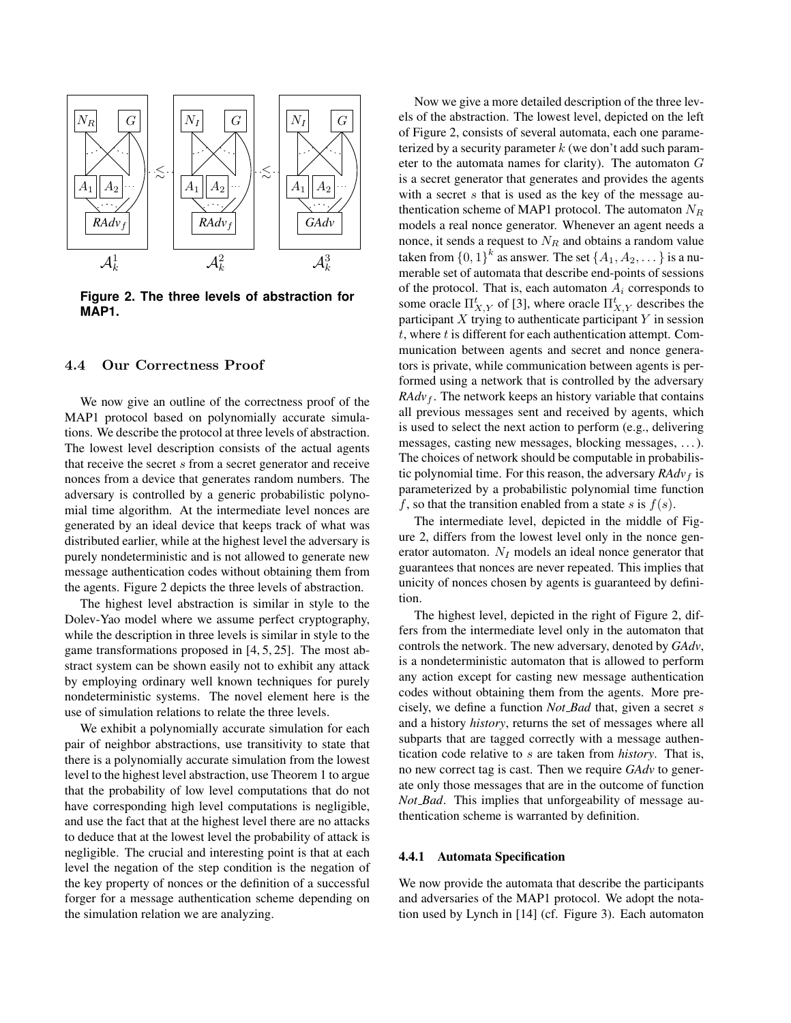

**Figure 2. The three levels of abstraction for MAP1.**

### 4.4 Our Correctness Proof

We now give an outline of the correctness proof of the MAP1 protocol based on polynomially accurate simulations. We describe the protocol at three levels of abstraction. The lowest level description consists of the actual agents that receive the secret s from a secret generator and receive nonces from a device that generates random numbers. The adversary is controlled by a generic probabilistic polynomial time algorithm. At the intermediate level nonces are generated by an ideal device that keeps track of what was distributed earlier, while at the highest level the adversary is purely nondeterministic and is not allowed to generate new message authentication codes without obtaining them from the agents. Figure 2 depicts the three levels of abstraction.

The highest level abstraction is similar in style to the Dolev-Yao model where we assume perfect cryptography, while the description in three levels is similar in style to the game transformations proposed in [4, 5, 25]. The most abstract system can be shown easily not to exhibit any attack by employing ordinary well known techniques for purely nondeterministic systems. The novel element here is the use of simulation relations to relate the three levels.

We exhibit a polynomially accurate simulation for each pair of neighbor abstractions, use transitivity to state that there is a polynomially accurate simulation from the lowest level to the highest level abstraction, use Theorem 1 to argue that the probability of low level computations that do not have corresponding high level computations is negligible, and use the fact that at the highest level there are no attacks to deduce that at the lowest level the probability of attack is negligible. The crucial and interesting point is that at each level the negation of the step condition is the negation of the key property of nonces or the definition of a successful forger for a message authentication scheme depending on the simulation relation we are analyzing.

Now we give a more detailed description of the three levels of the abstraction. The lowest level, depicted on the left of Figure 2, consists of several automata, each one parameterized by a security parameter  $k$  (we don't add such parameter to the automata names for clarity). The automaton G is a secret generator that generates and provides the agents with a secret s that is used as the key of the message authentication scheme of MAP1 protocol. The automaton  $N_R$ models a real nonce generator. Whenever an agent needs a nonce, it sends a request to  $N_R$  and obtains a random value taken from  $\left\{ 0,1\right\} ^{k}$  as answer. The set  $\left\{ A_{1},A_{2},\dots\right\}$  is a numerable set of automata that describe end-points of sessions of the protocol. That is, each automaton  $A_i$  corresponds to some oracle  $\Pi_{X,Y}^t$  of [3], where oracle  $\Pi_{X,Y}^t$  describes the participant  $X$  trying to authenticate participant  $Y$  in session  $t$ , where  $t$  is different for each authentication attempt. Communication between agents and secret and nonce generators is private, while communication between agents is performed using a network that is controlled by the adversary  $RAdv_f$ . The network keeps an history variable that contains all previous messages sent and received by agents, which is used to select the next action to perform (e.g., delivering messages, casting new messages, blocking messages, . . . ). The choices of network should be computable in probabilistic polynomial time. For this reason, the adversary  $RAdv_f$  is parameterized by a probabilistic polynomial time function f, so that the transition enabled from a state s is  $f(s)$ .

The intermediate level, depicted in the middle of Figure 2, differs from the lowest level only in the nonce generator automaton.  $N_I$  models an ideal nonce generator that guarantees that nonces are never repeated. This implies that unicity of nonces chosen by agents is guaranteed by definition.

The highest level, depicted in the right of Figure 2, differs from the intermediate level only in the automaton that controls the network. The new adversary, denoted by *GAdv*, is a nondeterministic automaton that is allowed to perform any action except for casting new message authentication codes without obtaining them from the agents. More precisely, we define a function *Not Bad* that, given a secret s and a history *history*, returns the set of messages where all subparts that are tagged correctly with a message authentication code relative to s are taken from *history*. That is, no new correct tag is cast. Then we require *GAdv* to generate only those messages that are in the outcome of function *Not Bad*. This implies that unforgeability of message authentication scheme is warranted by definition.

### 4.4.1 Automata Specification

We now provide the automata that describe the participants and adversaries of the MAP1 protocol. We adopt the notation used by Lynch in [14] (cf. Figure 3). Each automaton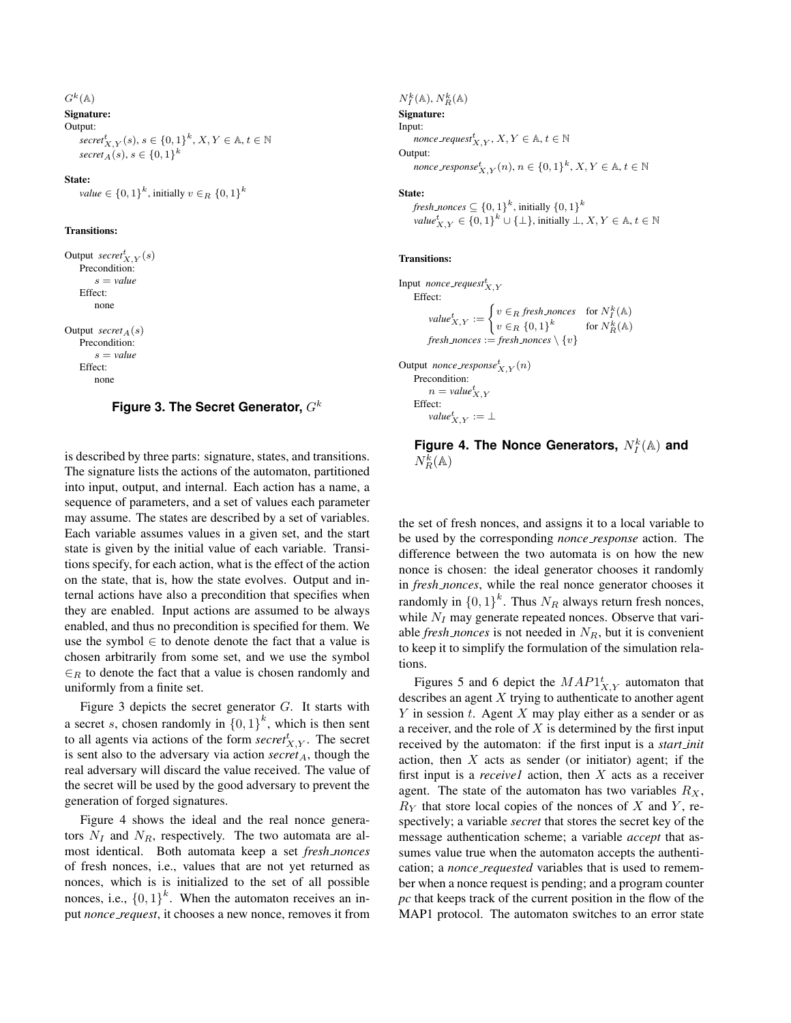$G^k(\mathbb{A})$ 

### Signature:

```
Output:
```

```
\textit{secret}_{X,Y}^t(s), s \in \{0,1\}^k, X, Y \in \mathbb{A}, t \in \mathbb{N}\mathit{secret}_A(s), s \in \{0,1\}^k
```
### State:

*value* ∈ {0, 1}<sup>k</sup>, initially  $v ∈_R$  {0, 1}<sup>k</sup>

### Transitions:

```
Output \mathit{secret}_{X,Y}^t(s)Precondition:
       s = value
   Effect:
        none
Output secret_A(s)Precondition:
```
s = *value* Effect: none

# **Figure 3. The Secret Generator,** G<sup>k</sup>

is described by three parts: signature, states, and transitions. The signature lists the actions of the automaton, partitioned into input, output, and internal. Each action has a name, a sequence of parameters, and a set of values each parameter may assume. The states are described by a set of variables. Each variable assumes values in a given set, and the start state is given by the initial value of each variable. Transitions specify, for each action, what is the effect of the action on the state, that is, how the state evolves. Output and internal actions have also a precondition that specifies when they are enabled. Input actions are assumed to be always enabled, and thus no precondition is specified for them. We use the symbol  $\in$  to denote denote the fact that a value is chosen arbitrarily from some set, and we use the symbol  $\epsilon_R$  to denote the fact that a value is chosen randomly and uniformly from a finite set.

Figure 3 depicts the secret generator  $G$ . It starts with a secret s, chosen randomly in  ${0,1}^k$ , which is then sent to all agents via actions of the form  $secret_{X,Y}^t$ . The secret is sent also to the adversary via action  $secret_A$ , though the real adversary will discard the value received. The value of the secret will be used by the good adversary to prevent the generation of forged signatures.

Figure 4 shows the ideal and the real nonce generators  $N_I$  and  $N_R$ , respectively. The two automata are almost identical. Both automata keep a set *fresh nonces* of fresh nonces, i.e., values that are not yet returned as nonces, which is is initialized to the set of all possible nonces, i.e.,  $\{0,1\}^k$ . When the automaton receives an input *nonce request*, it chooses a new nonce, removes it from

# $N_I^k(\mathbb{A}), N_R^k(\mathbb{A})$

### Signature:

Input: *nonce\_request* $^t_{X,Y}$ ,  $X,Y \in \mathbb{A}$ ,  $t \in \mathbb{N}$ 

Output:

nonce\_response ${}_{X,Y}^t(n),$   $n\in\{0,1\}^k,$   $X,Y\in$   $\mathbb A,$   $t\in\mathbb N$ 

### State:

*fresh\_nonces*  $\subseteq \{0,1\}^k$ , initially  $\{0,1\}^k$ *value*<sup>t</sup> $X, Y$  ∈ {0, 1}<sup>k</sup> ∪ {⊥}, initially ⊥,  $X, Y \in \mathbb{A}$ ,  $t \in \mathbb{N}$ 

### Transitions:

```
Input nonce_request _{X,Y}^tEffect:
            value_{X,Y}^t := \begin{cases} v \in_R \text{ fresh\_nonces} & \text{for } N_I^k(\mathbb{A}) \\ v \in L^1(0,1]^k & \text{for } N_I^k(\mathbb{A}) \end{cases}v \in_R \{0,1\}^k for N_R^k(\mathbb{A}){\it fresh\_nonces} := {\it fresh\_nonces} \setminus \{v\}Output nonce_response C_{X,Y}(n)Precondition:
```
 $n = value_{X,Y}^t$ Effect:  $value_{X,Y}^t := \bot$ 

# Figure 4. The Nonce Generators,  $N_I^k(\mathbb{A})$  and  $N_R^{\bar k}(\mathbb{A})$

the set of fresh nonces, and assigns it to a local variable to be used by the corresponding *nonce response* action. The difference between the two automata is on how the new nonce is chosen: the ideal generator chooses it randomly in *fresh nonces*, while the real nonce generator chooses it randomly in  ${0,1}^k$ . Thus  $N_R$  always return fresh nonces, while  $N_I$  may generate repeated nonces. Observe that variable *fresh\_nonces* is not needed in  $N_R$ , but it is convenient to keep it to simplify the formulation of the simulation relations.

Figures 5 and 6 depict the  $MAP1_{X,Y}^t$  automaton that describes an agent  $X$  trying to authenticate to another agent  $Y$  in session  $t$ . Agent  $X$  may play either as a sender or as a receiver, and the role of  $X$  is determined by the first input received by the automaton: if the first input is a *start init* action, then  $X$  acts as sender (or initiator) agent; if the first input is a *receive1* action, then X acts as a receiver agent. The state of the automaton has two variables  $R_X$ ,  $R<sub>Y</sub>$  that store local copies of the nonces of X and Y, respectively; a variable *secret* that stores the secret key of the message authentication scheme; a variable *accept* that assumes value true when the automaton accepts the authentication; a *nonce requested* variables that is used to remember when a nonce request is pending; and a program counter *pc* that keeps track of the current position in the flow of the MAP1 protocol. The automaton switches to an error state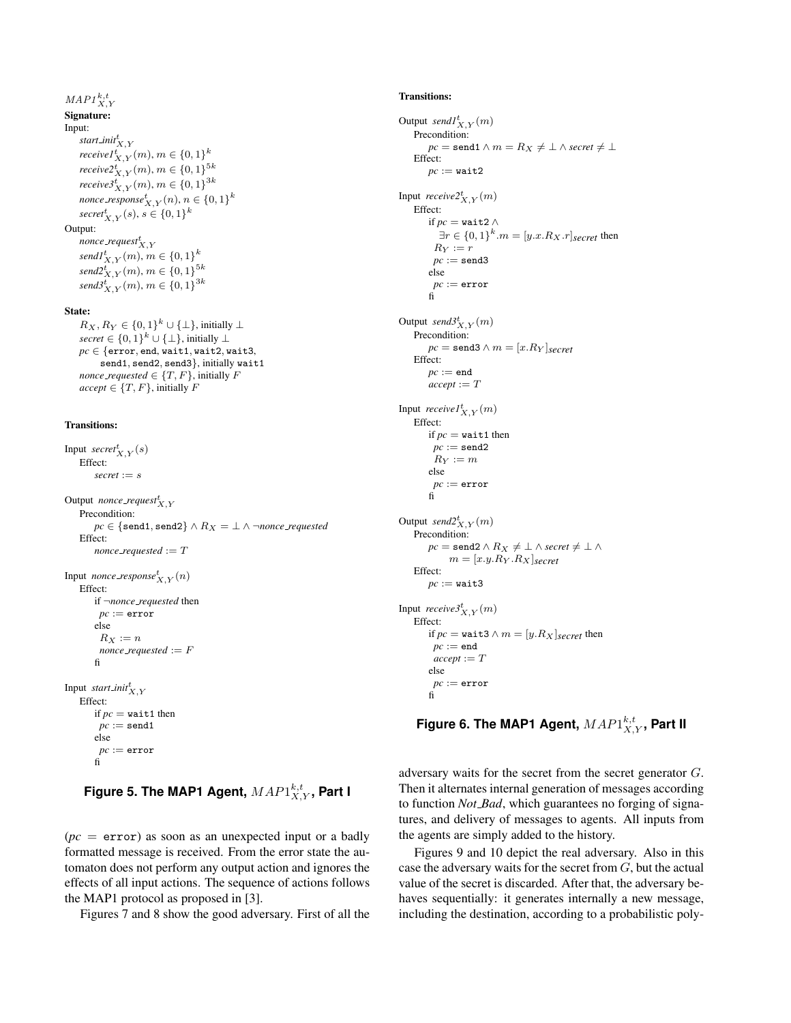# $MAP1_{X,Y}^{k,t}$

Signature: Input: *start init*<sup>t</sup> X,Y receivel ${}_{X,Y}^t(m), m \in \left\{0,1\right\}^k$ receive $2_{X,Y}^t(m),$   $m\in\{0,1\}^{5k}$ receive $\beta^t_{X,Y}(m),$   $m \in \{0,1\}^{3k}$ nonce\_response ${}_{X,Y}^t(n),$   $n \in \{0,1\}^k$  $\mathit{secret}^t_{X,Y}(s), \, s \in \{0,1\}^k$ Output: *nonce\_request*  $_{X,Y}^t$ send $l_{X,Y}^t(m), m \in \left\{0,1\right\}^k$ send $2_{X,Y}^t(m), m \in \{0,1\}^{5k}$ send $3_{X,Y}^t(m)$ ,  $m \in \{0,1\}^{3k}$ 

### State:

```
R_X, R_Y \in \{0,1\}^k \cup \{\perp\}, initially \perp\textit{secret} \in \{0,1\}^k \cup \{\bot\}, initially \botpc \in {error, end, wait1, wait2, wait3,
     send1, send2, send3}, initially wait1
nonce_requested \in {T, F}, initially F
accept \in \{T, F\}, initially F
```
### Transitions:

Input  $\mathit{secret}_{X,Y}^t(s)$ Effect: *secret* := s

```
Output nonce_request_{X,Y}^tPrecondition:
      pc ∈ {send1, send2} \land R_X = \bot \land \negnonce_requested
   Effect:
      nonce requested := T
```

```
\text{Input \; nonce\_response}_{X,Y}^t(n)Effect:
      if ¬nonce requested then
       pc := errorelse
       R_X := nnonce requested := Ffi
```

```
Input start_init<sup>t</sup>_{X,Y}Effect:
       if pc = wait1 then
        pc := send1
       else
         pc := errorfi
```
# Figure 5. The MAP1 Agent,  $MAP1_{X,Y}^{k,t}$ , Part I

 $(pc = error)$  as soon as an unexpected input or a badly formatted message is received. From the error state the automaton does not perform any output action and ignores the effects of all input actions. The sequence of actions follows the MAP1 protocol as proposed in [3].

Figures 7 and 8 show the good adversary. First of all the

### Transitions:

```
Output \mathit{sendl}_{X,Y}^t(m)Precondition:
       pc = send1 \wedge m = R_X \neq \perp \wedge secret \neq \perpEffect:
       pc := \texttt{wait2}Input \operatorname{\mathit{receive2}}^t_{X,Y}(m)Effect:
       if pc = wait2 ∧
           \exists r \in \{0,1\}^k.m = [y.x.R_X.r]_{\text{secret}} then
         R_Y := rpc := send3
       else
        pc := errorfi
Output \mathit{send3}^t_{X,Y}(m)Precondition:
       pc = send3 \wedge m = [x.R_Y]_{secret}Effect:
       pc := endaccept := TInput \operatorname{\mathit{receive}} I^t_{X,Y}(m)Effect:
       if pc = wait1 then
        pc := send2
         R_Y := melse
        pc := errorfi
Output \mathit{send2}^t_{X,Y}(m)Precondition:
       pc = send2 \wedge R_X \neq \bot \wedge secret \neq \bot \wedgem = [x.y.R_Y.R_X]secret
   Effect:
       pc :=wait3
Input \operatorname{\mathit{receive3}}^t_{X,Y}(m)Effect:
       if pc = wait3 \wedge m = [y.R_X]_{secret} then
        pc :=end
        accept := T
       else
        pc := errorfi
```
# Figure 6. The MAP1 Agent,  $MAP1_{X,Y}^{k,t}$ , Part II

adversary waits for the secret from the secret generator G. Then it alternates internal generation of messages according to function *Not Bad*, which guarantees no forging of signatures, and delivery of messages to agents. All inputs from the agents are simply added to the history.

Figures 9 and 10 depict the real adversary. Also in this case the adversary waits for the secret from  $G$ , but the actual value of the secret is discarded. After that, the adversary behaves sequentially: it generates internally a new message, including the destination, according to a probabilistic poly-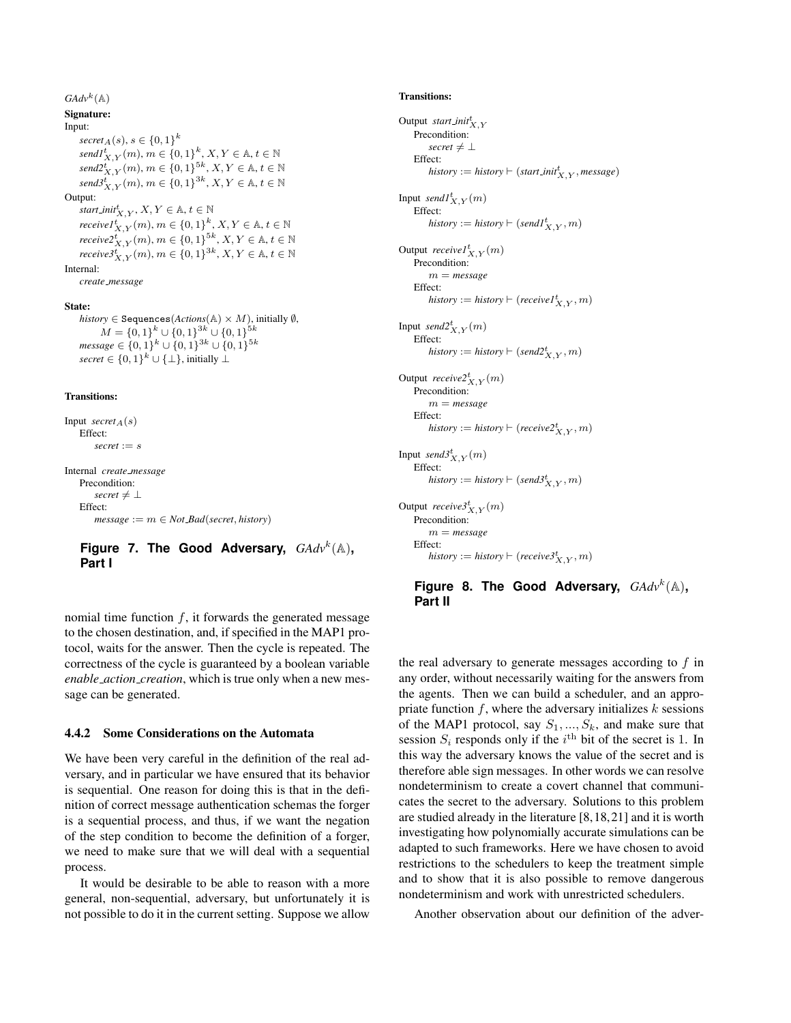$GAdv^k(\mathbb{A})$ Signature: Input:  $\mathit{secret}_A(s), \, s \in \{0,1\}^k$  $\text{sendl}_{X,Y}^{t}(m), m \in \{0,1\}^{k}, X, Y \in \mathbb{A}, t \in \mathbb{N}$  $\mathit{send2}_{X,Y}^t(m), m \in \{0,1\}^{5k}, X, Y \in \mathbb{A}, t \in \mathbb{N}$  $\mathit{send3}_{X,Y}^t(m), m \in \{0,1\}^{3k}, X, Y \in \mathbb{A}, t \in \mathbb{N}$ Output: *start\_init*<sup>t</sup><sub> $X, Y$ </sub>,  $X, Y \in \mathbb{A}, t \in \mathbb{N}$  $\mathit{received1}^t_{X,Y}(m), m\in\{0,1\}^k, X,Y\in\mathbb{A}, t\in\mathbb{N}$  $\mathit{receive2}^t_{X,Y}(m), m\in\{0,1\}^{5k}, X,Y\in\mathbb{A}, t\in\mathbb{N}$  $\mathit{receive3}^t_{X,Y}(m), m \in \{0,1\}^{3k}, X,Y \in \mathbb{A}, t \in \mathbb{N}$ Internal: *create message*

#### State:

 $history \in Sequences(Actions(\mathbb{A}) \times M)$ , initially  $\emptyset$ ,  $M = \{0,1\}^k \cup \{0,1\}^{3k} \cup \{0,1\}^{5k}$  $\textit{message} \in \{0, 1\}^k \cup \{0, 1\}^{3k} \cup \{0, 1\}^{5k}$  $\textit{secret} \in \{0,1\}^k \cup \{\bot\},$  initially  $\bot$ 

### Transitions:

Input  $secret_A(s)$ Effect: *secret* := s

Internal *create message* Precondition:  $secret \neq \bot$ Effect:  $message := m \in Not\_Bad(secret, history)$ 

# Figure 7. The Good Adversary,  $G A d v^k(\mathbb{A}),$ **Part I**

nomial time function  $f$ , it forwards the generated message to the chosen destination, and, if specified in the MAP1 protocol, waits for the answer. Then the cycle is repeated. The correctness of the cycle is guaranteed by a boolean variable *enable action creation*, which is true only when a new message can be generated.

### 4.4.2 Some Considerations on the Automata

We have been very careful in the definition of the real adversary, and in particular we have ensured that its behavior is sequential. One reason for doing this is that in the definition of correct message authentication schemas the forger is a sequential process, and thus, if we want the negation of the step condition to become the definition of a forger, we need to make sure that we will deal with a sequential process.

It would be desirable to be able to reason with a more general, non-sequential, adversary, but unfortunately it is not possible to do it in the current setting. Suppose we allow

### Transitions:

```
Output start_init<sup>t</sup>_{X,Y}Precondition:
       secret \neq \perpEffect:
        history := history \vdash (start\_init_{X,Y}^t, message)Input \mathit{sendl}_{X,Y}^t(m)Effect:
        history := history \vdash (send1^t_{X,Y}, m)Output \operatorname{\mathit{receive}} I^t_{X,Y}(m)Precondition:
        m = message
    Effect:
        history := history \vdash (received \, 1^t_{X,Y}, m)Input \mathit{send2}^t_{X,Y}(m)Effect:
        history := history \vdash (send2^t_{X,Y}, m)Output \mathit{receive2}^t_{X,Y}(m)Precondition:
       m = message
    Effect:
        history := history \vdash (receive 2^t_{X,Y}, m)Input \mathit{send3}_{X,Y}^t(m)Effect:
        history := history \vdash (send3^t_{X,Y}, m)Output \mathit{receive3}^t_{X,Y}(m)Precondition:
       m = message
    Effect:
```
 $history := history \vdash (receive 3^t_{X,Y}, m)$ 

# Figure 8. The Good Adversary,  $GAdv^k(\mathbb{A})$ , **Part II**

the real adversary to generate messages according to  $f$  in any order, without necessarily waiting for the answers from the agents. Then we can build a scheduler, and an appropriate function  $f$ , where the adversary initializes  $k$  sessions of the MAP1 protocol, say  $S_1, ..., S_k$ , and make sure that session  $S_i$  responds only if the  $i^{\text{th}}$  bit of the secret is 1. In this way the adversary knows the value of the secret and is therefore able sign messages. In other words we can resolve nondeterminism to create a covert channel that communicates the secret to the adversary. Solutions to this problem are studied already in the literature [8,18,21] and it is worth investigating how polynomially accurate simulations can be adapted to such frameworks. Here we have chosen to avoid restrictions to the schedulers to keep the treatment simple and to show that it is also possible to remove dangerous nondeterminism and work with unrestricted schedulers.

Another observation about our definition of the adver-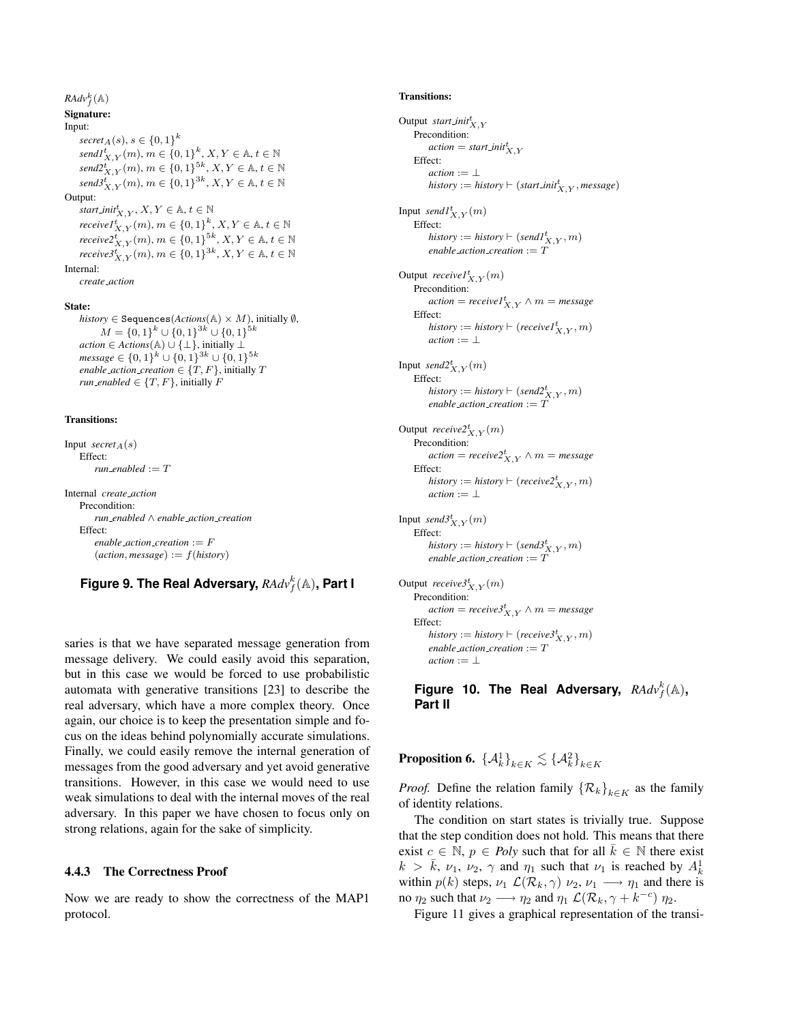# $RAdv_f^k(\mathbb{A})$

Signature: Input:  $\mathit{secret}_A(s), \, s \in \{0,1\}^k$  $\text{sendl}_{X,Y}^{t}(m), m \in \{0,1\}^{k}, X, Y \in \mathbb{A}, t \in \mathbb{N}$  $\mathit{send2}_{X,Y}^t(m), m \in \{0,1\}^{5k}, X, Y \in \mathbb{A}, t \in \mathbb{N}$  $\mathit{send3}_{X,Y}^t(m), m \in \{0,1\}^{3k}, X, Y \in \mathbb{A}, t \in \mathbb{N}$ Output: *start\_init*<sup>t</sup><sub> $X, Y$ </sub>,  $X, Y \in \mathbb{A}, t \in \mathbb{N}$  $\mathit{received1}^t_{X,Y}(m), m\in\{0,1\}^k, X,Y\in\mathbb{A}, t\in\mathbb{N}$  $\mathit{receive2}^t_{X,Y}(m), m\in\{0,1\}^{5k}, X,Y\in\mathbb{A}, t\in\mathbb{N}$  $\mathit{receive3}^t_{X,Y}(m), m \in \{0,1\}^{3k}, X,Y \in \mathbb{A}, t \in \mathbb{N}$ Internal: *create action*

#### State:

 $history \in Sequences(Actions(\mathbb{A}) \times M)$ , initially  $\emptyset$ ,  $M = \{0,1\}^k \cup \{0,1\}^{3k} \cup \{0,1\}^{5k}$ *action* ∈ *Actions*(A) ∪ {⊥}, initially ⊥  $\textit{message} \in \{0,1\}^k \cup \{0,1\}^{3k} \cup \{0,1\}^{5k}$ *enable\_action\_creation*  $\in \{T, F\}$ , initially T  $run\_enabeled \in \{T, F\}$ , initially  $F$ 

### Transitions:

Input  $secret_A(s)$ Effect:  $run\_enabled := T$ 

Internal *create action* Precondition: *run enabled* ∧ *enable action creation* Effect: *enable action creation* := F  $(action, message) := f(history)$ 

# $\boldsymbol{\mathsf{Figure}}$  9. The Real Adversary,  $\mathit{Radv}_f^k(\mathbb{A}),$  Part I

saries is that we have separated message generation from message delivery. We could easily avoid this separation, but in this case we would be forced to use probabilistic automata with generative transitions [23] to describe the real adversary, which have a more complex theory. Once again, our choice is to keep the presentation simple and focus on the ideas behind polynomially accurate simulations. Finally, we could easily remove the internal generation of messages from the good adversary and yet avoid generative transitions. However, in this case we would need to use weak simulations to deal with the internal moves of the real adversary. In this paper we have chosen to focus only on strong relations, again for the sake of simplicity.

### 4.4.3 The Correctness Proof

Now we are ready to show the correctness of the MAP1 protocol.

### Transitions:

```
Output start_init<sup>t</sup>_{X,Y}Precondition:
         \mathit{action} = \mathit{start\_init}_{X,Y}^tEffect:
        action := \perphistory := history \vdash (start\_init_{X,Y}^t, message)Input \mathit{sendl}_{X,Y}^t(m)Effect:
         history := history \vdash (send1^t_{X,Y}, m)enable action creation := T
Output \operatorname{\mathit{received}} 1_{X,Y}^t(m)Precondition:
         \mathit{action} = \mathit{receivedl}_{X,Y}^t \land m = \mathit{message}Effect:
         history := history \vdash (received \, 1^t_{X,Y}, m)action := \perpInput \textit{send2}_{X,Y}^t(m)Effect:
         history := history \vdash (send2^t_{X,Y}, m)enable action creation := T
Output \mathit{receive2}^t_{X,Y}(m)
```
Precondition:  $action = receive2^t_{X,Y} \wedge m = message$ Effect:  $history := history \vdash (receive 2^t_{X,Y}, m)$  $action := \perp$ 

Input  $\mathit{send3}^t_{X,Y}(m)$ Effect:  $history := history \vdash (send3^t_{X,Y}, m)$ *enable action creation* := T

Output  $\mathit{receive3}^t_{X,Y}(m)$ Precondition:  $\mathit{action} = \mathit{receive3}^t_{X,Y} \land m = \mathit{message}$ Effect:  $history := history \vdash (receive 3^t_{X,Y}, m)$ *enable action creation* := T  $action := \perp$ 

Figure 10. The Real Adversary,  $RAdv_f^k(\mathbb{A}),$ **Part II**

Proposition 6.  $\left\{\mathcal{A}_{k}^1\right\}_{k\in K}\lesssim \left\{\mathcal{A}_{k}^2\right\}_{k\in K}$ 

*Proof.* Define the relation family  $\{R_k\}_{k\in K}$  as the family of identity relations.

The condition on start states is trivially true. Suppose that the step condition does not hold. This means that there exist  $c \in \mathbb{N}$ ,  $p \in Poly$  such that for all  $\overline{k} \in \mathbb{N}$  there exist  $k > \bar{k}$ ,  $\nu_1$ ,  $\nu_2$ ,  $\gamma$  and  $\eta_1$  such that  $\nu_1$  is reached by  $A_k^1$ within  $p(k)$  steps,  $\nu_1 \mathcal{L}(\mathcal{R}_k, \gamma)$   $\nu_2, \nu_1 \longrightarrow \eta_1$  and there is no  $\eta_2$  such that  $\nu_2 \longrightarrow \eta_2$  and  $\eta_1 \mathcal{L}(\mathcal{R}_k, \gamma + k^{-c}) \eta_2$ .

Figure 11 gives a graphical representation of the transi-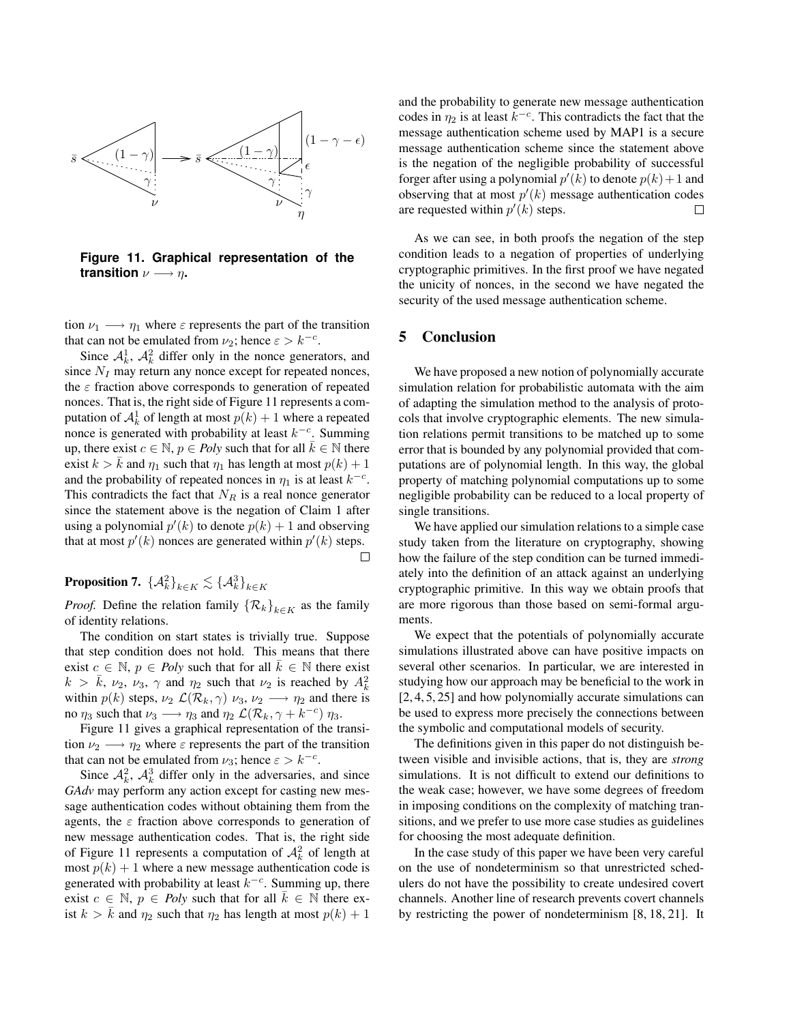

**Figure 11. Graphical representation of the transition**  $\nu \rightarrow \eta$ .

tion  $\nu_1 \longrightarrow \eta_1$  where  $\varepsilon$  represents the part of the transition that can not be emulated from  $\nu_2$ ; hence  $\varepsilon > k^{-c}$ .

Since  $A_k^1$ ,  $A_k^2$  differ only in the nonce generators, and since  $N_I$  may return any nonce except for repeated nonces, the  $\varepsilon$  fraction above corresponds to generation of repeated nonces. That is, the right side of Figure 11 represents a computation of  $\mathcal{A}_{k}^{1}$  of length at most  $p(k)+1$  where a repeated nonce is generated with probability at least  $k^{-c}$ . Summing up, there exist  $c \in \mathbb{N}$ ,  $p \in Poly$  such that for all  $\overline{k} \in \mathbb{N}$  there exist  $k > \bar{k}$  and  $\eta_1$  such that  $\eta_1$  has length at most  $p(k) + 1$ and the probability of repeated nonces in  $\eta_1$  is at least  $k^{-c}$ . This contradicts the fact that  $N_R$  is a real nonce generator since the statement above is the negation of Claim 1 after using a polynomial  $p'(k)$  to denote  $p(k) + 1$  and observing that at most  $p'(k)$  nonces are generated within  $p'(k)$  steps.  $\Box$ 

# Proposition 7.  $\left\{\mathcal{A}_k^2\right\}_{k\in K}\lesssim \left\{\mathcal{A}_k^3\right\}_{k\in K}$

*Proof.* Define the relation family  $\{R_k\}_{k\in K}$  as the family of identity relations.

The condition on start states is trivially true. Suppose that step condition does not hold. This means that there exist  $c \in \mathbb{N}$ ,  $p \in Poly$  such that for all  $\overline{k} \in \mathbb{N}$  there exist  $k > \bar{k}$ ,  $\nu_2$ ,  $\nu_3$ ,  $\gamma$  and  $\eta_2$  such that  $\nu_2$  is reached by  $A_k^2$ within  $p(k)$  steps,  $\nu_2 \mathcal{L}(\mathcal{R}_k, \gamma)$   $\nu_3, \nu_2 \longrightarrow \eta_2$  and there is no  $\eta_3$  such that  $\nu_3 \longrightarrow \eta_3$  and  $\eta_2 \mathcal{L}(\mathcal{R}_k, \gamma + k^{-c}) \eta_3$ .

Figure 11 gives a graphical representation of the transition  $\nu_2 \longrightarrow \eta_2$  where  $\varepsilon$  represents the part of the transition that can not be emulated from  $\nu_3$ ; hence  $\varepsilon > k^{-c}$ .

Since  $A_k^2$ ,  $A_k^3$  differ only in the adversaries, and since *GAdv* may perform any action except for casting new message authentication codes without obtaining them from the agents, the  $\varepsilon$  fraction above corresponds to generation of new message authentication codes. That is, the right side of Figure 11 represents a computation of  $A_k^2$  of length at most  $p(k) + 1$  where a new message authentication code is generated with probability at least  $k^{-c}$ . Summing up, there exist  $c \in \mathbb{N}$ ,  $p \in Poly$  such that for all  $\overline{k} \in \mathbb{N}$  there exist  $k > \bar{k}$  and  $\eta_2$  such that  $\eta_2$  has length at most  $p(k) + 1$ 

and the probability to generate new message authentication codes in  $\eta_2$  is at least  $k^{-c}$ . This contradicts the fact that the message authentication scheme used by MAP1 is a secure message authentication scheme since the statement above is the negation of the negligible probability of successful forger after using a polynomial  $p'(k)$  to denote  $p(k) + 1$  and observing that at most  $p'(k)$  message authentication codes are requested within  $p'(k)$  steps.  $\Box$ 

As we can see, in both proofs the negation of the step condition leads to a negation of properties of underlying cryptographic primitives. In the first proof we have negated the unicity of nonces, in the second we have negated the security of the used message authentication scheme.

### 5 Conclusion

We have proposed a new notion of polynomially accurate simulation relation for probabilistic automata with the aim of adapting the simulation method to the analysis of protocols that involve cryptographic elements. The new simulation relations permit transitions to be matched up to some error that is bounded by any polynomial provided that computations are of polynomial length. In this way, the global property of matching polynomial computations up to some negligible probability can be reduced to a local property of single transitions.

We have applied our simulation relations to a simple case study taken from the literature on cryptography, showing how the failure of the step condition can be turned immediately into the definition of an attack against an underlying cryptographic primitive. In this way we obtain proofs that are more rigorous than those based on semi-formal arguments.

We expect that the potentials of polynomially accurate simulations illustrated above can have positive impacts on several other scenarios. In particular, we are interested in studying how our approach may be beneficial to the work in [2, 4, 5, 25] and how polynomially accurate simulations can be used to express more precisely the connections between the symbolic and computational models of security.

The definitions given in this paper do not distinguish between visible and invisible actions, that is, they are *strong* simulations. It is not difficult to extend our definitions to the weak case; however, we have some degrees of freedom in imposing conditions on the complexity of matching transitions, and we prefer to use more case studies as guidelines for choosing the most adequate definition.

In the case study of this paper we have been very careful on the use of nondeterminism so that unrestricted schedulers do not have the possibility to create undesired covert channels. Another line of research prevents covert channels by restricting the power of nondeterminism [8, 18, 21]. It